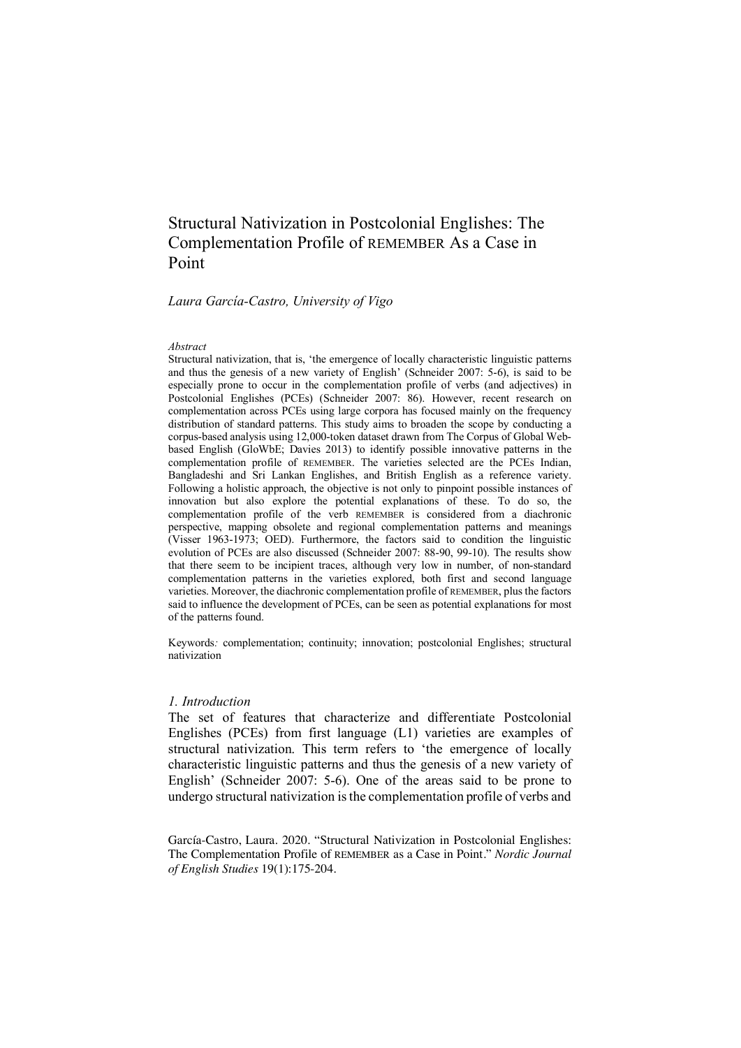# Structural Nativization in Postcolonial Englishes: The Complementation Profile of REMEMBER As a Case in Point

#### *Laura García-Castro, University of Vigo*

#### *Abstract*

Structural nativization, that is, 'the emergence of locally characteristic linguistic patterns and thus the genesis of a new variety of English' (Schneider 2007: 5-6), is said to be especially prone to occur in the complementation profile of verbs (and adjectives) in Postcolonial Englishes (PCEs) (Schneider 2007: 86). However, recent research on complementation across PCEs using large corpora has focused mainly on the frequency distribution of standard patterns. This study aims to broaden the scope by conducting a corpus-based analysis using 12,000-token dataset drawn from The Corpus of Global Webbased English (GloWbE; Davies 2013) to identify possible innovative patterns in the complementation profile of REMEMBER. The varieties selected are the PCEs Indian, Bangladeshi and Sri Lankan Englishes, and British English as a reference variety. Following a holistic approach, the objective is not only to pinpoint possible instances of innovation but also explore the potential explanations of these. To do so, the complementation profile of the verb REMEMBER is considered from a diachronic perspective, mapping obsolete and regional complementation patterns and meanings (Visser 1963-1973; OED). Furthermore, the factors said to condition the linguistic evolution of PCEs are also discussed (Schneider 2007: 88-90, 99-10). The results show that there seem to be incipient traces, although very low in number, of non-standard complementation patterns in the varieties explored, both first and second language varieties. Moreover, the diachronic complementation profile of REMEMBER, plus the factors said to influence the development of PCEs, can be seen as potential explanations for most of the patterns found.

Keywords*:* complementation; continuity; innovation; postcolonial Englishes; structural nativization

## *1. Introduction*

The set of features that characterize and differentiate Postcolonial Englishes (PCEs) from first language (L1) varieties are examples of structural nativization. This term refers to 'the emergence of locally characteristic linguistic patterns and thus the genesis of a new variety of English' (Schneider 2007: 5-6). One of the areas said to be prone to undergo structural nativization is the complementation profile of verbs and

García-Castro, Laura. 2020. "Structural Nativization in Postcolonial Englishes: The Complementation Profile of REMEMBER as a Case in Point." *Nordic Journal of English Studies* 19(1):175-204.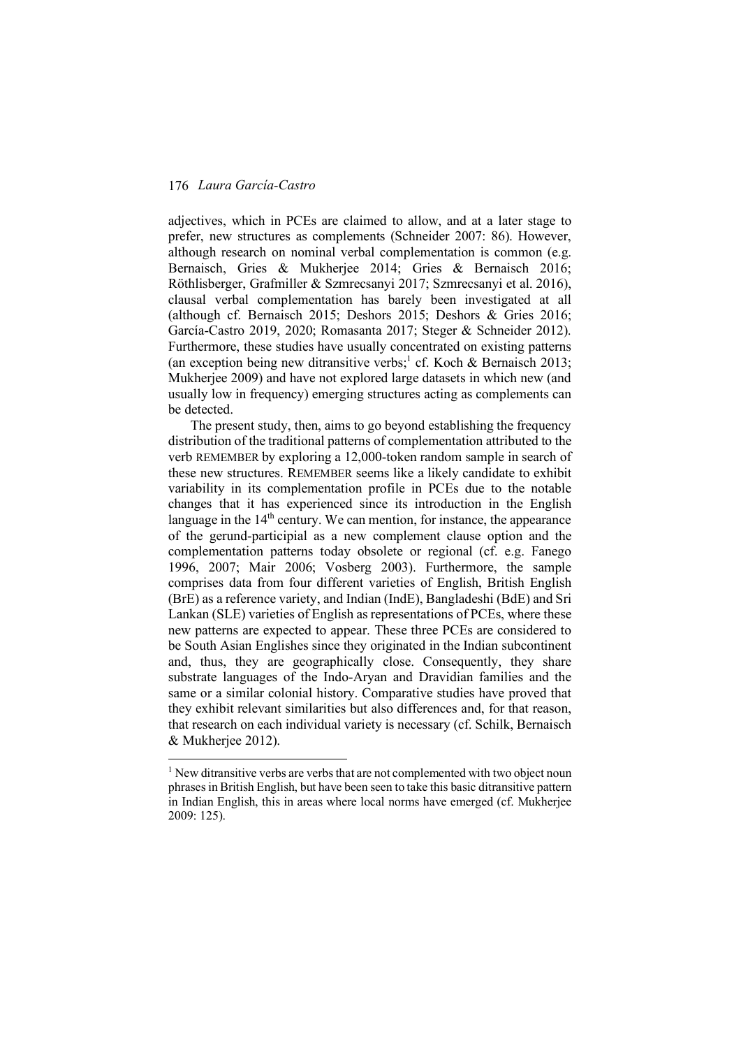adjectives, which in PCEs are claimed to allow, and at a later stage to prefer, new structures as complements (Schneider 2007: 86). However, although research on nominal verbal complementation is common (e.g. Bernaisch, Gries & Mukherjee 2014; Gries & Bernaisch 2016; Röthlisberger, Grafmiller & Szmrecsanyi 2017; Szmrecsanyi et al. 2016), clausal verbal complementation has barely been investigated at all (although cf. Bernaisch 2015; Deshors 2015; Deshors & Gries 2016; García-Castro 2019, 2020; Romasanta 2017; Steger & Schneider 2012). Furthermore, these studies have usually concentrated on existing patterns (an exception being new ditransitive verbs;<sup>1</sup> cf. Koch & Bernaisch 2013; Mukherjee 2009) and have not explored large datasets in which new (and usually low in frequency) emerging structures acting as complements can be detected.

The present study, then, aims to go beyond establishing the frequency distribution of the traditional patterns of complementation attributed to the verb REMEMBER by exploring a 12,000-token random sample in search of these new structures. REMEMBER seems like a likely candidate to exhibit variability in its complementation profile in PCEs due to the notable changes that it has experienced since its introduction in the English language in the  $14<sup>th</sup>$  century. We can mention, for instance, the appearance of the gerund-participial as a new complement clause option and the complementation patterns today obsolete or regional (cf. e.g. Fanego 1996, 2007; Mair 2006; Vosberg 2003). Furthermore, the sample comprises data from four different varieties of English, British English (BrE) as a reference variety, and Indian (IndE), Bangladeshi (BdE) and Sri Lankan (SLE) varieties of English as representations of PCEs, where these new patterns are expected to appear. These three PCEs are considered to be South Asian Englishes since they originated in the Indian subcontinent and, thus, they are geographically close. Consequently, they share substrate languages of the Indo-Aryan and Dravidian families and the same or a similar colonial history. Comparative studies have proved that they exhibit relevant similarities but also differences and, for that reason, that research on each individual variety is necessary (cf. Schilk, Bernaisch & Mukherjee 2012).

<sup>&</sup>lt;sup>1</sup> New ditransitive verbs are verbs that are not complemented with two object noun phrases in British English, but have been seen to take this basic ditransitive pattern in Indian English, this in areas where local norms have emerged (cf. Mukherjee 2009: 125).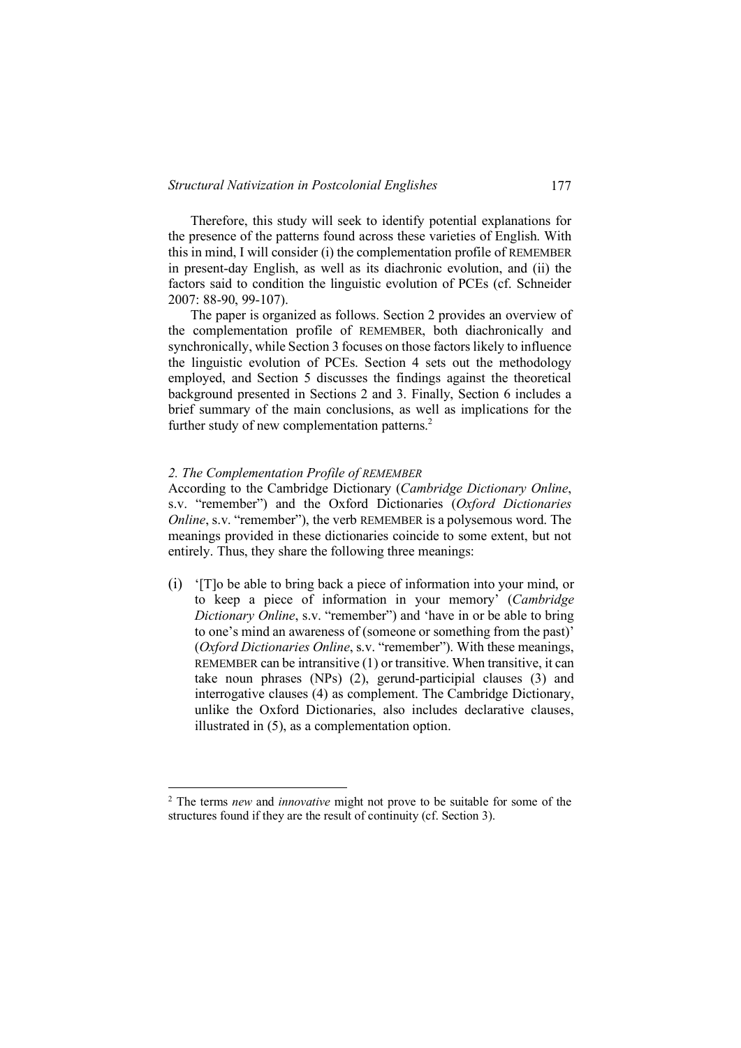Therefore, this study will seek to identify potential explanations for the presence of the patterns found across these varieties of English. With this in mind, I will consider (i) the complementation profile of REMEMBER in present-day English, as well as its diachronic evolution, and (ii) the factors said to condition the linguistic evolution of PCEs (cf. Schneider 2007: 88-90, 99-107).

The paper is organized as follows. Section 2 provides an overview of the complementation profile of REMEMBER, both diachronically and synchronically, while Section 3 focuses on those factors likely to influence the linguistic evolution of PCEs. Section 4 sets out the methodology employed, and Section 5 discusses the findings against the theoretical background presented in Sections 2 and 3. Finally, Section 6 includes a brief summary of the main conclusions, as well as implications for the further study of new complementation patterns.<sup>2</sup>

#### *2. The Complementation Profile of REMEMBER*

According to the Cambridge Dictionary (*Cambridge Dictionary Online*, s.v. "remember") and the Oxford Dictionaries (*Oxford Dictionaries Online*, s.v. "remember"), the verb REMEMBER is a polysemous word. The meanings provided in these dictionaries coincide to some extent, but not entirely. Thus, they share the following three meanings:

(i) '[T]o be able to bring back a piece of information into your mind, or to keep a piece of information in your memory' (*Cambridge Dictionary Online*, s.v. "remember") and 'have in or be able to bring to one's mind an awareness of (someone or something from the past)' (*Oxford Dictionaries Online*, s.v. "remember"). With these meanings, REMEMBER can be intransitive (1) or transitive. When transitive, it can take noun phrases (NPs) (2), gerund-participial clauses (3) and interrogative clauses (4) as complement. The Cambridge Dictionary, unlike the Oxford Dictionaries, also includes declarative clauses, illustrated in (5), as a complementation option.

 <sup>2</sup> The terms *new* and *innovative* might not prove to be suitable for some of the structures found if they are the result of continuity (cf. Section 3).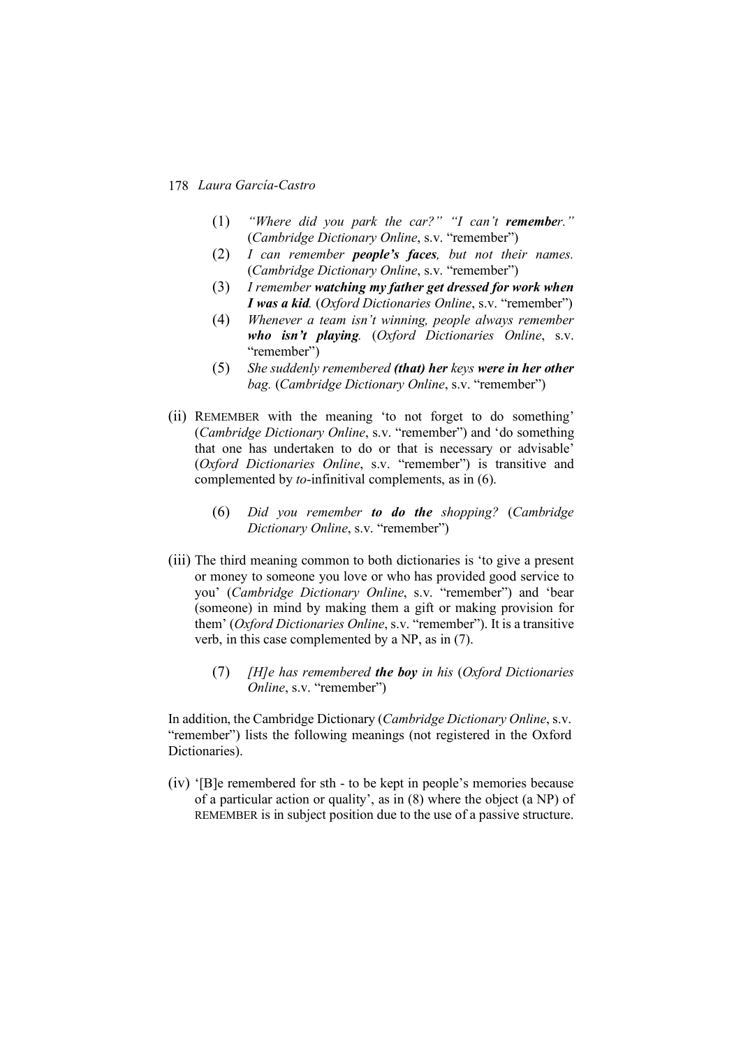- (1) *"Where did you park the car?" "I can't remember."* (*Cambridge Dictionary Online*, s.v. "remember")
- (2) *I can remember people's faces, but not their names.* (*Cambridge Dictionary Online*, s.v. "remember")
- (3) *I remember watching my father get dressed for work when I was a kid.* (*Oxford Dictionaries Online*, s.v. "remember")
- (4) *Whenever a team isn't winning, people always remember who isn't playing.* (*Oxford Dictionaries Online*, s.v. "remember")
- (5) *She suddenly remembered (that) her keys were in her other bag.* (*Cambridge Dictionary Online*, s.v. "remember")
- (ii) REMEMBER with the meaning 'to not forget to do something' (*Cambridge Dictionary Online*, s.v. "remember") and 'do something that one has undertaken to do or that is necessary or advisable' (*Oxford Dictionaries Online*, s.v. "remember") is transitive and complemented by *to*-infinitival complements, as in (6).
	- (6) *Did you remember to do the shopping?* (*Cambridge Dictionary Online*, s.v. "remember")
- (iii) The third meaning common to both dictionaries is 'to give a present or money to someone you love or who has provided good service to you' (*Cambridge Dictionary Online*, s.v. "remember") and 'bear (someone) in mind by making them a gift or making provision for them' (*Oxford Dictionaries Online*, s.v. "remember"). It is a transitive verb, in this case complemented by a NP, as in (7).
	- (7) *[H]e has remembered the boy in his* (*Oxford Dictionaries Online*, s.v. "remember")

In addition, the Cambridge Dictionary (*Cambridge Dictionary Online*, s.v. "remember") lists the following meanings (not registered in the Oxford Dictionaries).

(iv) '[B]e remembered for sth - to be kept in people's memories because of a particular action or quality', as in (8) where the object (a NP) of REMEMBER is in subject position due to the use of a passive structure.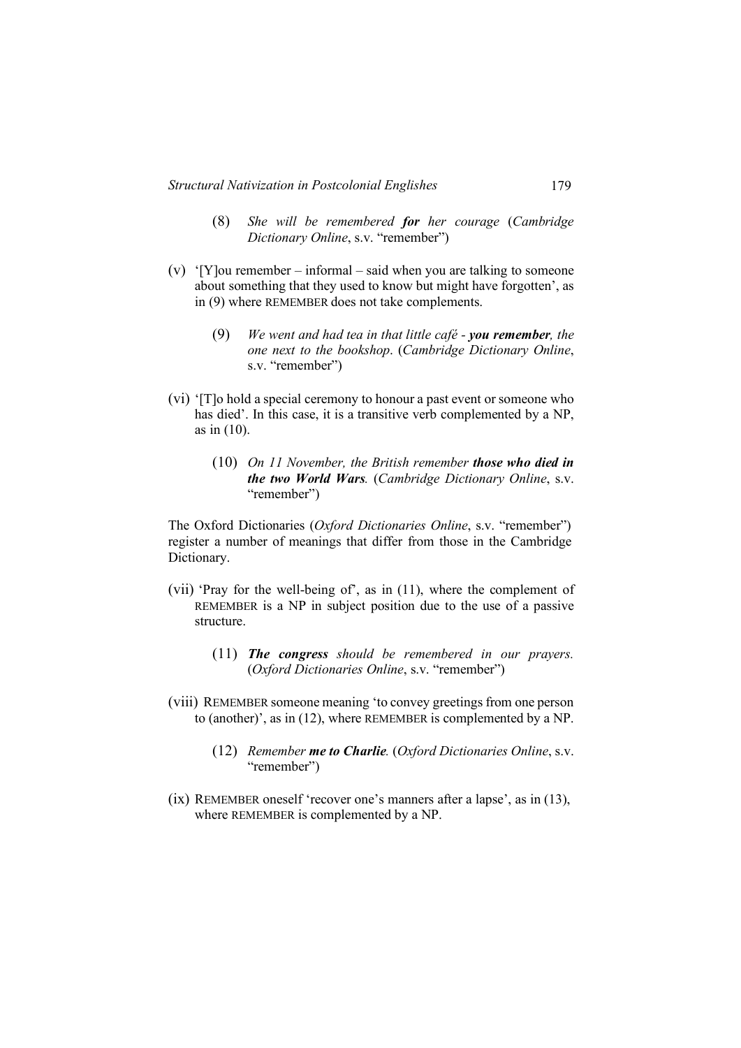- (8) *She will be remembered for her courage* (*Cambridge Dictionary Online*, s.v. "remember")
- (v) '[Y]ou remember informal said when you are talking to some one about something that they used to know but might have forgotten', as in (9) where REMEMBER does not take complements.
	- (9) *We went and had tea in that little café - you remember, the one next to the bookshop*. (*Cambridge Dictionary Online*, s.v. "remember")
- (vi) '[T]o hold a special ceremony to honour a past event or someone who has died'. In this case, it is a transitive verb complemented by a NP, as in (10).
	- (10) *On 11 November, the British remember those who died in the two World Wars.* (*Cambridge Dictionary Online*, s.v. "remember")

The Oxford Dictionaries (*Oxford Dictionaries Online*, s.v. "remember") register a number of meanings that differ from those in the Cambridge Dictionary.

- (vii) 'Pray for the well-being of', as in (11), where the complement of REMEMBER is a NP in subject position due to the use of a passive structure.
	- (11) *The congress should be remembered in our prayers.*  (*Oxford Dictionaries Online*, s.v. "remember")
- (viii) REMEMBER someone meaning 'to convey greetings from one person to (another)', as in (12), where REMEMBER is complemented by a NP.
	- (12) *Remember me to Charlie.* (*Oxford Dictionaries Online*, s.v. "remember")
- (ix) REMEMBER oneself 'recover one's manners after a lapse', as in (13), where REMEMBER is complemented by a NP.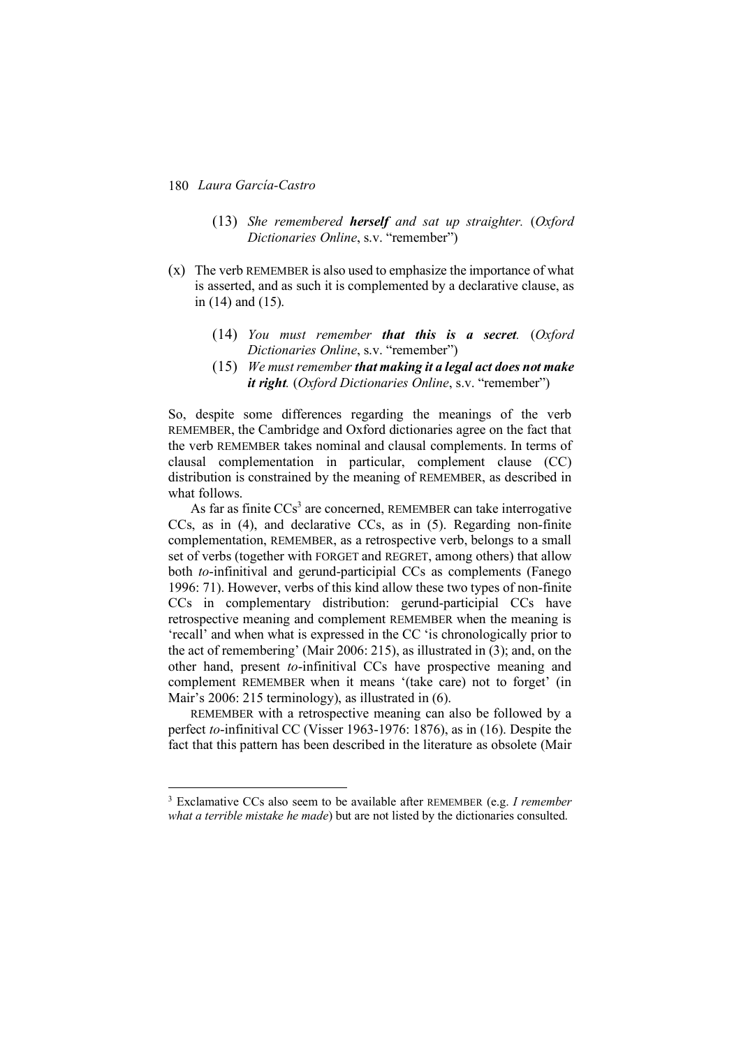- (13) *She remembered herself and sat up straighter.* (*Oxford Dictionaries Online*, s.v. "remember")
- (x) The verb REMEMBER is also used to emphasize the importance of what is asserted, and as such it is complemented by a declarative clause, as in (14) and (15).
	- (14) *You must remember that this is a secret.* (*Oxford Dictionaries Online*, s.v. "remember")
	- (15) *We must remember that making it a legal act does not make it right.* (*Oxford Dictionaries Online*, s.v. "remember")

So, despite some differences regarding the meanings of the verb REMEMBER, the Cambridge and Oxford dictionaries agree on the fact that the verb REMEMBER takes nominal and clausal complements. In terms of clausal complementation in particular, complement clause (CC) distribution is constrained by the meaning of REMEMBER, as described in what follows.

As far as finite  $CCs<sup>3</sup>$  are concerned, REMEMBER can take interrogative CCs, as in (4), and declarative CCs, as in (5). Regarding non-finite complementation, REMEMBER, as a retrospective verb, belongs to a small set of verbs (together with FORGET and REGRET, among others) that allow both *to*-infinitival and gerund-participial CCs as complements (Fanego 1996: 71). However, verbs of this kind allow these two types of non-finite CCs in complementary distribution: gerund-participial CCs have retrospective meaning and complement REMEMBER when the meaning is 'recall' and when what is expressed in the CC 'is chronologically prior to the act of remembering' (Mair 2006: 215), as illustrated in (3); and, on the other hand, present *to*-infinitival CCs have prospective meaning and complement REMEMBER when it means '(take care) not to forget' (in Mair's 2006: 215 terminology), as illustrated in (6).

REMEMBER with a retrospective meaning can also be followed by a perfect *to*-infinitival CC (Visser 1963-1976: 1876), as in (16). Despite the fact that this pattern has been described in the literature as obsolete (Mair

 <sup>3</sup> Exclamative CCs also seem to be available after REMEMBER (e.g. *I remember what a terrible mistake he made*) but are not listed by the dictionaries consulted.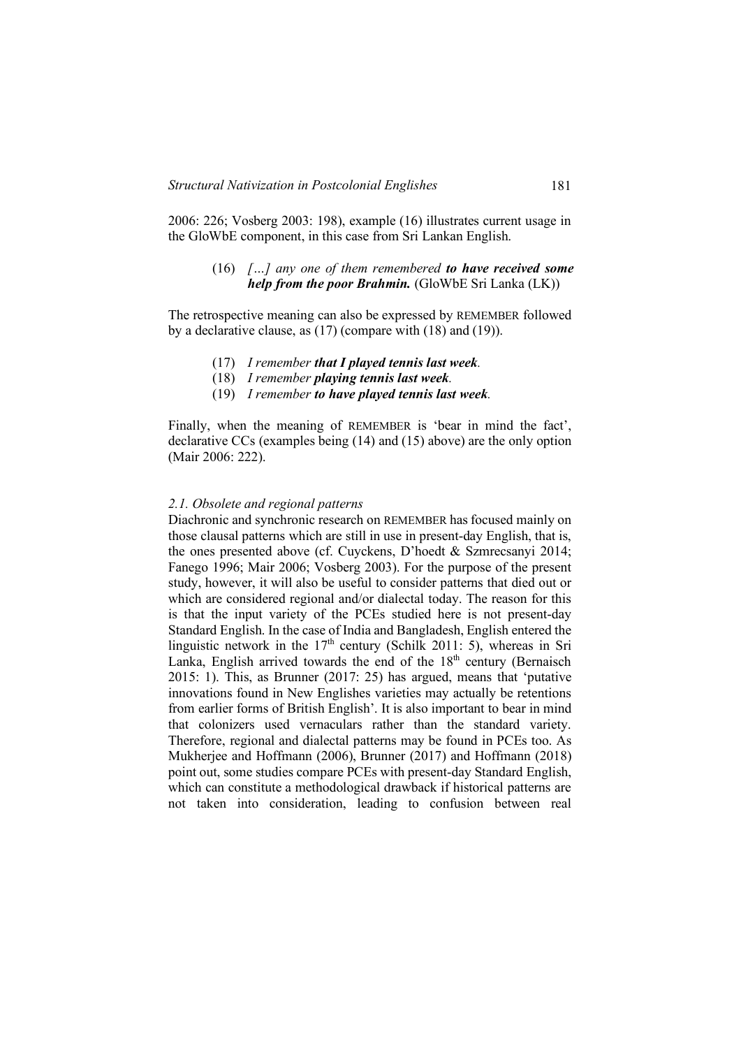2006: 226; Vosberg 2003: 198), example (16) illustrates current usage in the GloWbE component, in this case from Sri Lankan English.

> (16) *[…] any one of them remembered to have received some help from the poor Brahmin.* (GloWbE Sri Lanka (LK))

The retrospective meaning can also be expressed by REMEMBER followed by a declarative clause, as (17) (compare with (18) and (19)).

- (17) *I remember that I played tennis last week.*
- (18) *I remember playing tennis last week.*
- (19) *I remember to have played tennis last week.*

Finally, when the meaning of REMEMBER is 'bear in mind the fact', declarative CCs (examples being (14) and (15) above) are the only option (Mair 2006: 222).

## *2.1. Obsolete and regional patterns*

Diachronic and synchronic research on REMEMBER has focused mainly on those clausal patterns which are still in use in present-day English, that is, the ones presented above (cf. Cuyckens, D'hoedt & Szmrecsanyi 2014; Fanego 1996; Mair 2006; Vosberg 2003). For the purpose of the present study, however, it will also be useful to consider patterns that died out or which are considered regional and/or dialectal today. The reason for this is that the input variety of the PCEs studied here is not present-day Standard English. In the case of India and Bangladesh, English entered the linguistic network in the  $17<sup>th</sup>$  century (Schilk 2011: 5), whereas in Sri Lanka, English arrived towards the end of the  $18<sup>th</sup>$  century (Bernaisch 2015: 1). This, as Brunner (2017: 25) has argued, means that 'putative innovations found in New Englishes varieties may actually be retentions from earlier forms of British English'. It is also important to bear in mind that colonizers used vernaculars rather than the standard variety. Therefore, regional and dialectal patterns may be found in PCEs too. As Mukherjee and Hoffmann (2006), Brunner (2017) and Hoffmann (2018) point out, some studies compare PCEs with present-day Standard English, which can constitute a methodological drawback if historical patterns are not taken into consideration, leading to confusion between real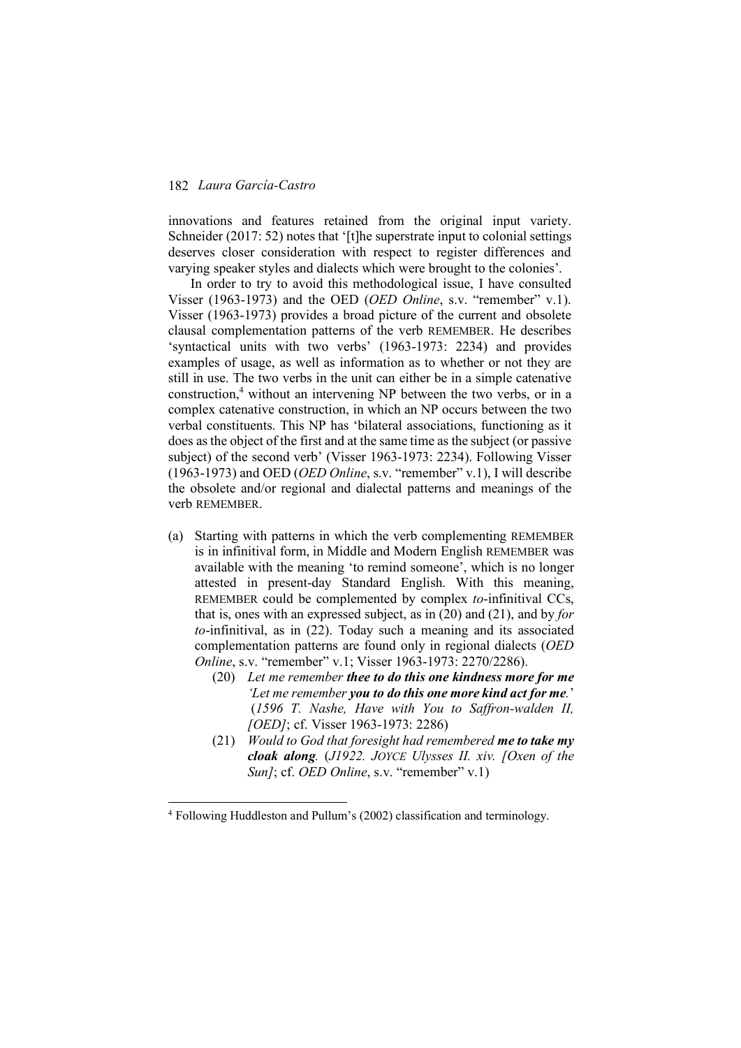innovations and features retained from the original input variety. Schneider (2017: 52) notes that '[t]he superstrate input to colonial settings deserves closer consideration with respect to register differences and varying speaker styles and dialects which were brought to the colonies'.

In order to try to avoid this methodological issue, I have consulted Visser (1963-1973) and the OED (*OED Online*, s.v. "remember" v.1). Visser (1963-1973) provides a broad picture of the current and obsolete clausal complementation patterns of the verb REMEMBER. He describes 'syntactical units with two verbs' (1963-1973: 2234) and provides examples of usage, as well as information as to whether or not they are still in use. The two verbs in the unit can either be in a simple catenative construction, <sup>4</sup> without an intervening NP between the two verbs, or in a complex catenative construction, in which an NP occurs between the two verbal constituents. This NP has 'bilateral associations, functioning as it does as the object of the first and at the same time as the subject (or passive subject) of the second verb' (Visser 1963-1973: 2234). Following Visser (1963-1973) and OED (*OED Online*, s.v. "remember" v.1), I will describe the obsolete and/or regional and dialectal patterns and meanings of the verb REMEMBER.

- (a) Starting with patterns in which the verb complementing REMEMBER is in infinitival form, in Middle and Modern English REMEMBER was available with the meaning 'to remind someone', which is no longer attested in present-day Standard English. With this meaning, REMEMBER could be complemented by complex *to*-infinitival CCs, that is, ones with an expressed subject, as in (20) and (21), and by *for to*-infinitival, as in (22). Today such a meaning and its associated complementation patterns are found only in regional dialects (*OED Online*, s.v. "remember" v.1; Visser 1963-1973: 2270/2286).
	- (20) *Let me remember thee to do this one kindness more for me 'Let me remember you to do this one more kind act for me.*' (*1596 T. Nashe, Have with You to Saffron-walden II, [OED]*; cf. Visser 1963-1973: 2286)
	- (21) *Would to God that foresight had remembered me to take my cloak along.* (*J1922. JOYCE Ulysses II. xiv. [Oxen of the Sun]*; cf. *OED Online*, s.v. "remember" v.1)

 <sup>4</sup> Following Huddleston and Pullum's (2002) classification and terminology.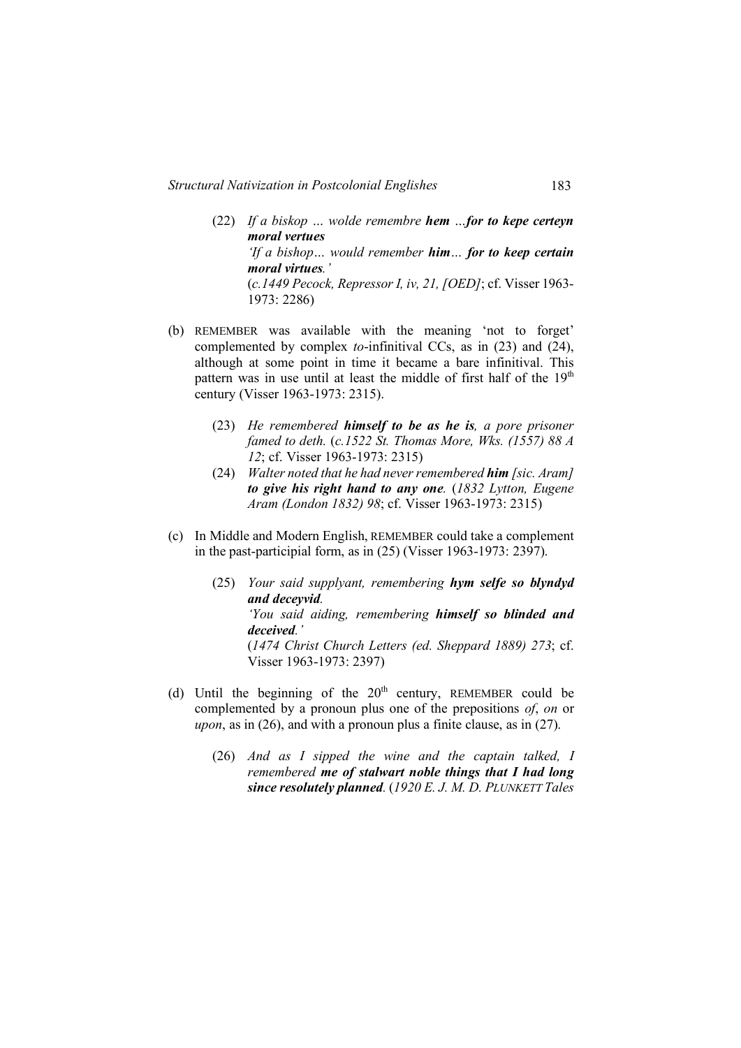- (22) *If a biskop … wolde remembre hem …for to kepe certeyn moral vertues 'If a bishop… would remember him… for to keep certain moral virtues.'*  (*c.1449 Pecock, Repressor I, iv, 21, [OED]*; cf. Visser 1963- 1973: 2286)
- (b) REMEMBER was available with the meaning 'not to forget' complemented by complex *to*-infinitival CCs, as in (23) and (24), although at some point in time it became a bare infinitival. This pattern was in use until at least the middle of first half of the  $19<sup>th</sup>$ century (Visser 1963-1973: 2315).
	- (23) *He remembered himself to be as he is, a pore prisoner famed to deth.* (*c.1522 St. Thomas More, Wks. (1557) 88 A 12*; cf. Visser 1963-1973: 2315)
	- (24) *Walter noted that he had never remembered him [sic. Aram] to give his right hand to any one.* (*1832 Lytton, Eugene Aram (London 1832) 98*; cf. Visser 1963-1973: 2315)
- (c) In Middle and Modern English, REMEMBER could take a complement in the past-participial form, as in (25) (Visser 1963-1973: 2397).
	- (25) *Your said supplyant, remembering hym selfe so blyndyd and deceyvid. 'You said aiding, remembering himself so blinded and deceived.'* (*1474 Christ Church Letters (ed. Sheppard 1889) 273*; cf. Visser 1963-1973: 2397)
- (d) Until the beginning of the  $20<sup>th</sup>$  century, REMEMBER could be complemented by a pronoun plus one of the prepositions *of*, *on* or *upon*, as in (26), and with a pronoun plus a finite clause, as in (27).
	- (26) *And as I sipped the wine and the captain talked, I remembered me of stalwart noble things that I had long since resolutely planned.* (*1920 E. J. M. D. PLUNKETT Tales*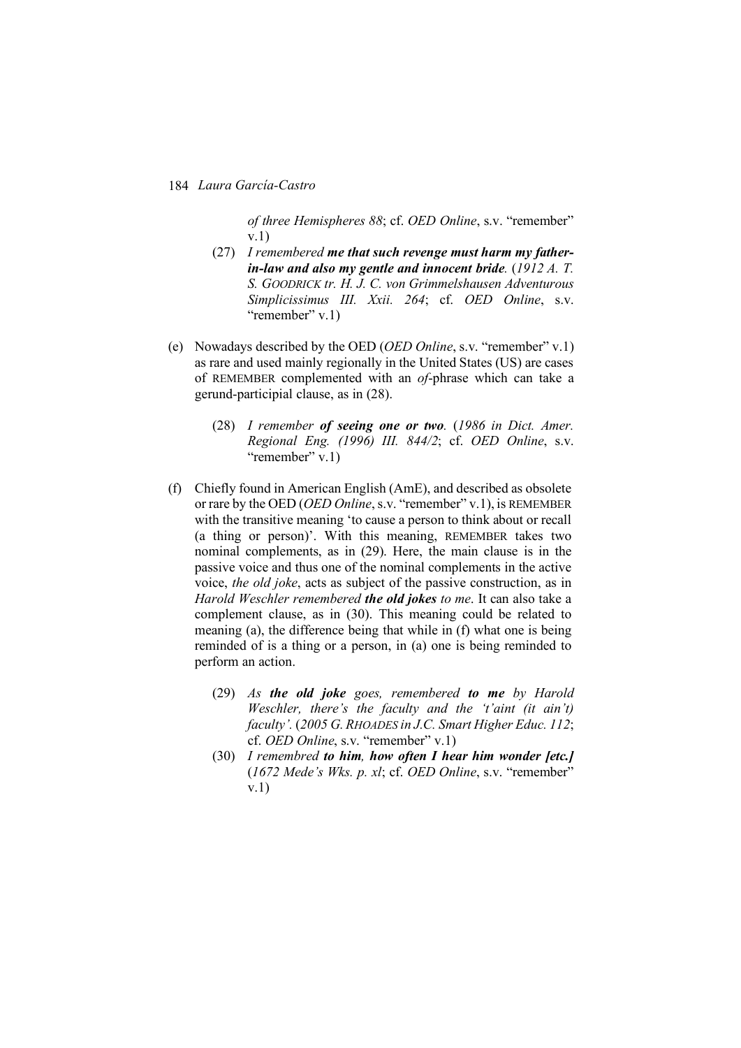*of three Hemispheres 88*; cf. *OED Online*, s.v. "remember" v.1)

- (27) *I remembered me that such revenge must harm my fatherin-law and also my gentle and innocent bride.* (*1912 A. T. S. GOODRICK tr. H. J. C. von Grimmelshausen Adventurous Simplicissimus III. Xxii. 264*; cf. *OED Online*, s.v. "remember" v.1)
- (e) Nowadays described by the OED (*OED Online*, s.v. "remember" v.1) as rare and used mainly regionally in the United States (US) are cases of REMEMBER complemented with an *of*-phrase which can take a gerund-participial clause, as in (28).
	- (28) *I remember of seeing one or two.* (*1986 in Dict. Amer. Regional Eng. (1996) III. 844/2*; cf. *OED Online*, s.v. "remember" v.1)
- (f) Chiefly found in American English (AmE), and described as obsolete or rare by the OED (*OED Online*, s.v. "remember" v.1), is REMEMBER with the transitive meaning 'to cause a person to think about or recall (a thing or person)'. With this meaning, REMEMBER takes two nominal complements, as in (29). Here, the main clause is in the passive voice and thus one of the nominal complements in the active voice, *the old joke*, acts as subject of the passive construction, as in *Harold Weschler remembered the old jokes to me*. It can also take a complement clause, as in (30). This meaning could be related to meaning (a), the difference being that while in (f) what one is being reminded of is a thing or a person, in (a) one is being reminded to perform an action.
	- (29) *As the old joke goes, remembered to me by Harold Weschler, there's the faculty and the 't'aint (it ain't) faculty'.* (*2005 G. RHOADES in J.C. Smart Higher Educ. 112*; cf. *OED Online*, s.v. "remember" v.1)
	- (30) *I remembred to him, how often I hear him wonder [etc.]* (*1672 Mede's Wks. p. xl*; cf. *OED Online*, s.v. "remember" v.1)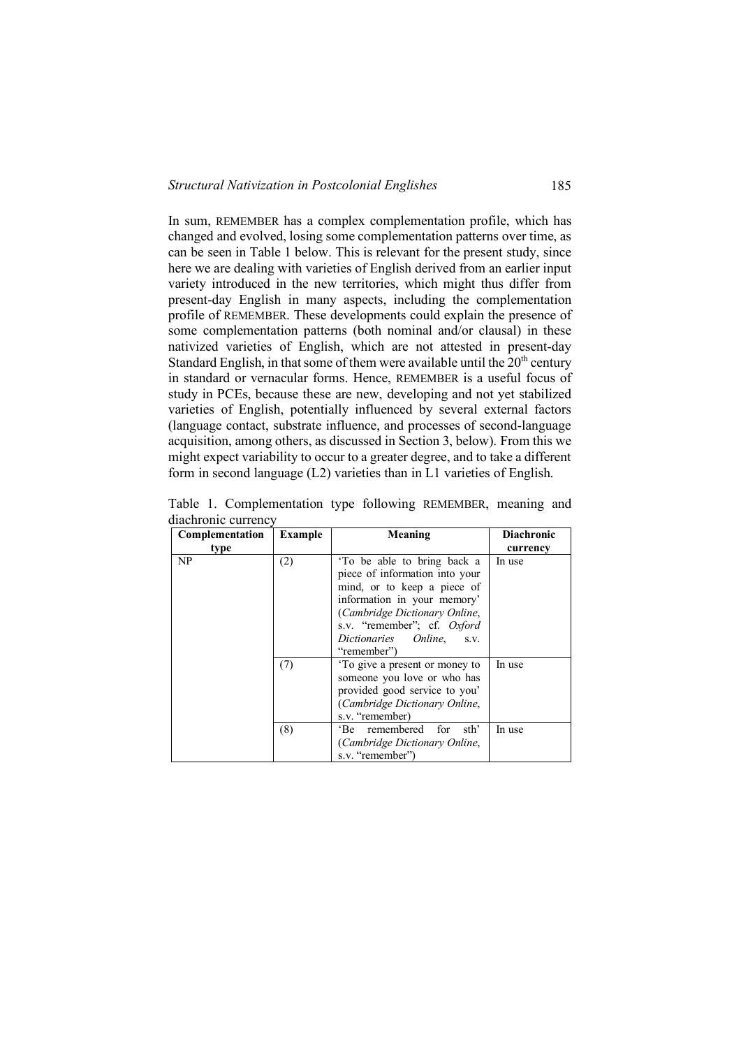In sum, REMEMBER has a complex complementation profile, which has changed and evolved, losing some complementation patterns over time, as can be seen in Table 1 below. This is relevant for the present study, since here we are dealing with varieties of English derived from an earlier input variety introduced in the new territories, which might thus differ from present-day English in many aspects, including the complementation profile of REMEMBER. These developments could explain the presence of some complementation patterns (both nominal and/or clausal) in these nativized varieties of English, which are not attested in present-day Standard English, in that some of them were available until the  $20<sup>th</sup>$  century in standard or vernacular forms. Hence, REMEMBER is a useful focus of study in PCEs, because these are new, developing and not yet stabilized varieties of English, potentially influenced by several external factors (language contact, substrate influence, and processes of second-language acquisition, among others, as discussed in Section 3, below). From this we might expect variability to occur to a greater degree, and to take a different form in second language (L2) varieties than in L1 varieties of English.

| Complementation | <b>Example</b> | Meaning                                                                                                                                                                                                                                         | <b>Diachronic</b> |  |
|-----------------|----------------|-------------------------------------------------------------------------------------------------------------------------------------------------------------------------------------------------------------------------------------------------|-------------------|--|
| type            |                |                                                                                                                                                                                                                                                 | currency          |  |
| NP              | (2)            | To be able to bring back a<br>piece of information into your<br>mind, or to keep a piece of<br>information in your memory'<br>(Cambridge Dictionary Online,<br>s.v. "remember"; cf. <i>Oxford</i><br>Dictionaries Online,<br>S.V.<br>"remember" | In use            |  |
|                 | (7)            | To give a present or money to<br>someone you love or who has<br>provided good service to you'<br>(Cambridge Dictionary Online,<br>s.v. "remember)                                                                                               | In use            |  |
|                 | (8)            | remembered for<br>sth'<br>$E$ Be<br>(Cambridge Dictionary Online,<br>s.v. "remember")                                                                                                                                                           | In use            |  |

Table 1. Complementation type following REMEMBER, meaning and diachronic currency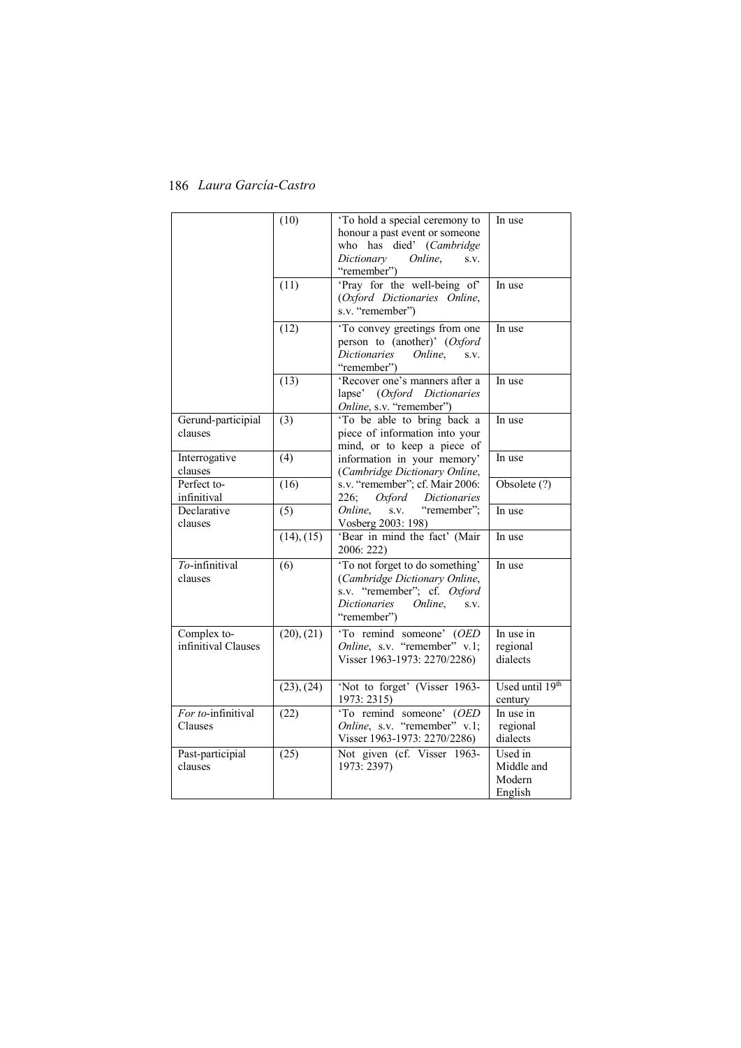|                                    | (10)             | 'To hold a special ceremony to<br>honour a past event or someone<br>who has died' (Cambridge<br>Dictionary<br>Online.<br>S.V.<br>"remember")      | In use                                     |
|------------------------------------|------------------|---------------------------------------------------------------------------------------------------------------------------------------------------|--------------------------------------------|
|                                    | (11)             | 'Pray for the well-being of'<br>(Oxford Dictionaries Online,<br>s.v. "remember")                                                                  | In use                                     |
|                                    | (12)             | 'To convey greetings from one<br>person to (another)' (Oxford<br><i>Dictionaries</i><br>Online.<br>S.V.<br>"remember")                            | In use                                     |
|                                    | (13)             | 'Recover one's manners after a<br>lapse' (Oxford Dictionaries<br>Online, s.v. "remember")                                                         | In use                                     |
| Gerund-participial<br>clauses      | (3)              | 'To be able to bring back a<br>piece of information into your<br>mind, or to keep a piece of                                                      | In use                                     |
| Interrogative<br>clauses           | (4)              | information in your memory'<br>(Cambridge Dictionary Online,                                                                                      | In use                                     |
| Perfect to-<br>infinitival         | (16)             | s.v. "remember"; cf. Mair 2006:<br>226;<br>Oxford<br>Dictionaries                                                                                 | Obsolete (?)                               |
| Declarative<br>clauses             | $\overline{(5)}$ | "remember";<br>Online.<br>S.V.<br>Vosberg 2003: 198)                                                                                              | In use                                     |
|                                    | (14), (15)       | 'Bear in mind the fact' (Mair<br>2006: 222)                                                                                                       | In use                                     |
| To-infinitival<br>clauses          | (6)              | 'To not forget to do something'<br>(Cambridge Dictionary Online,<br>s.v. "remember"; cf. Oxford<br>Dictionaries<br>Online,<br>S.V.<br>"remember") | In use                                     |
| Complex to-<br>infinitival Clauses | (20), (21)       | 'To remind someone' (OED<br>Online, s.v. "remember" v.1;<br>Visser 1963-1973: 2270/2286)                                                          | In use in<br>regional<br>dialects          |
|                                    | (23), (24)       | 'Not to forget' (Visser 1963-<br>1973: 2315)                                                                                                      | Used until 19th<br>century                 |
| For to-infinitival<br>Clauses      | (22)             | 'To remind someone' (OED<br>Online, s.v. "remember" v.1;<br>Visser 1963-1973: 2270/2286)                                                          | In use in<br>regional<br>dialects          |
| Past-participial<br>clauses        | (25)             | Not given (cf. Visser 1963-<br>1973: 2397)                                                                                                        | Used in<br>Middle and<br>Modern<br>English |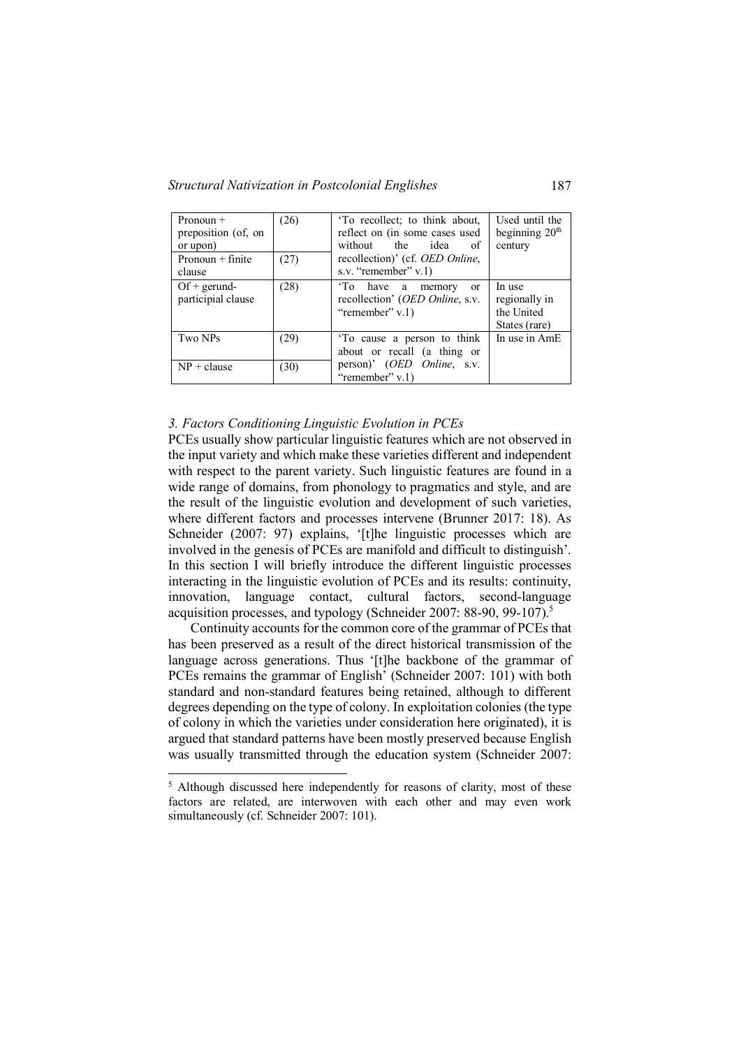| Pronoun $+$<br>preposition (of, on<br>or upon) | (26) | 'To recollect; to think about,<br>reflect on (in some cases used<br>without the idea<br>of  | Used until the<br>beginning $20th$<br>century          |
|------------------------------------------------|------|---------------------------------------------------------------------------------------------|--------------------------------------------------------|
| Pronoun $+$ finite<br>clause                   | (27) | recollection)' (cf. <i>OED Online</i> ,<br>s.v. "remember" $v$ .1)                          |                                                        |
| $Of + gerund -$<br>participial clause          | (28) | 'To have a memory<br><sub>or</sub><br>recollection' (OED Online, s.v.<br>"remember" $v.1$ ) | In use<br>regionally in<br>the United<br>States (rare) |
| Two NPs                                        | (29) | To cause a person to think<br>about or recall (a thing or                                   | In use in AmE                                          |
| $NP + clause$                                  | (30) | person)' (OED Online, s.v.<br>"remember" $v.1$ )                                            |                                                        |

## *3. Factors Conditioning Linguistic Evolution in PCEs*

PCEs usually show particular linguistic features which are not observed in the input variety and which make these varieties different and independent with respect to the parent variety. Such linguistic features are found in a wide range of domains, from phonology to pragmatics and style, and are the result of the linguistic evolution and development of such varieties, where different factors and processes intervene (Brunner 2017: 18). As Schneider (2007: 97) explains, '[t]he linguistic processes which are involved in the genesis of PCEs are manifold and difficult to distinguish'. In this section I will briefly introduce the different linguistic processes interacting in the linguistic evolution of PCEs and its results: continuity, innovation, language contact, cultural factors, second-language acquisition processes, and typology (Schneider 2007: 88-90, 99-107).<sup>5</sup>

Continuity accounts for the common core of the grammar of PCEs that has been preserved as a result of the direct historical transmission of the language across generations. Thus '[t]he backbone of the grammar of PCEs remains the grammar of English' (Schneider 2007: 101) with both standard and non-standard features being retained, although to different degrees depending on the type of colony. In exploitation colonies (the type of colony in which the varieties under consideration here originated), it is argued that standard patterns have been mostly preserved because English was usually transmitted through the education system (Schneider 2007:

<sup>&</sup>lt;sup>5</sup> Although discussed here independently for reasons of clarity, most of these factors are related, are interwoven with each other and may even work simultaneously (cf. Schneider 2007: 101).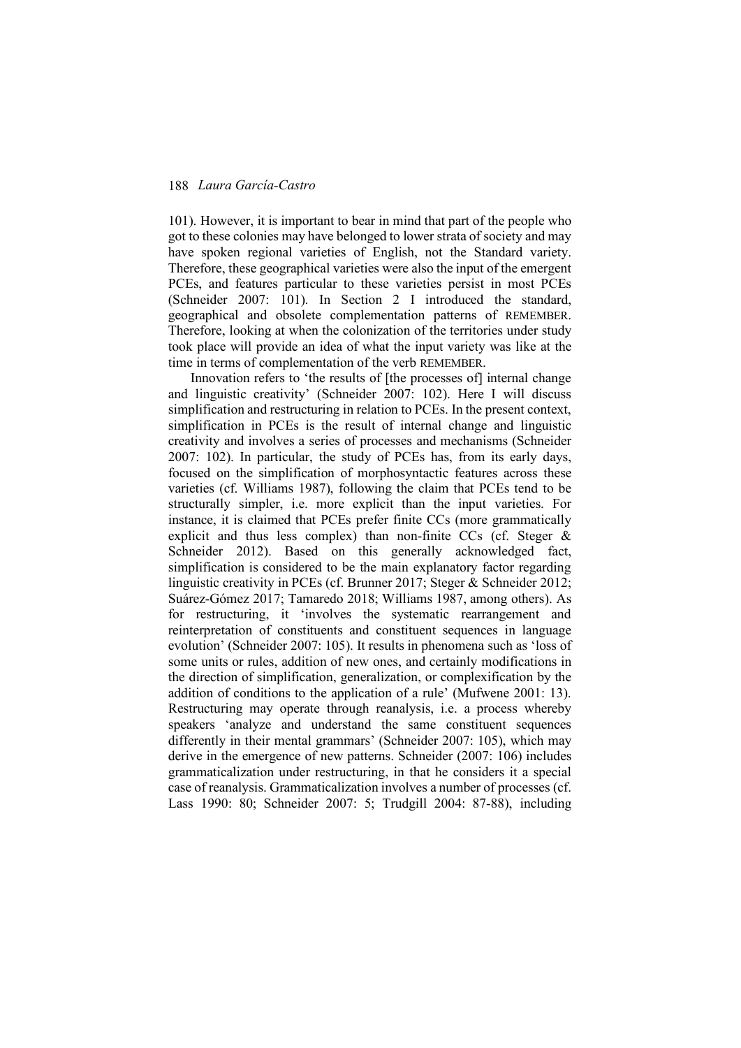101). However, it is important to bear in mind that part of the people who got to these colonies may have belonged to lower strata of society and may have spoken regional varieties of English, not the Standard variety. Therefore, these geographical varieties were also the input of the emergent PCEs, and features particular to these varieties persist in most PCEs (Schneider 2007: 101). In Section 2 I introduced the standard, geographical and obsolete complementation patterns of REMEMBER. Therefore, looking at when the colonization of the territories under study took place will provide an idea of what the input variety was like at the time in terms of complementation of the verb REMEMBER.

Innovation refers to 'the results of [the processes of] internal change and linguistic creativity' (Schneider 2007: 102). Here I will discuss simplification and restructuring in relation to PCEs. In the present context, simplification in PCEs is the result of internal change and linguistic creativity and involves a series of processes and mechanisms (Schneider 2007: 102). In particular, the study of PCEs has, from its early days, focused on the simplification of morphosyntactic features across these varieties (cf. Williams 1987), following the claim that PCEs tend to be structurally simpler, i.e. more explicit than the input varieties. For instance, it is claimed that PCEs prefer finite CCs (more grammatically explicit and thus less complex) than non-finite CCs (cf. Steger & Schneider 2012). Based on this generally acknowledged fact, simplification is considered to be the main explanatory factor regarding linguistic creativity in PCEs (cf. Brunner 2017; Steger & Schneider 2012; Suárez-Gómez 2017; Tamaredo 2018; Williams 1987, among others). As for restructuring, it 'involves the systematic rearrangement and reinterpretation of constituents and constituent sequences in language evolution' (Schneider 2007: 105). It results in phenomena such as 'loss of some units or rules, addition of new ones, and certainly modifications in the direction of simplification, generalization, or complexification by the addition of conditions to the application of a rule' (Mufwene 2001: 13). Restructuring may operate through reanalysis, i.e. a process whereby speakers 'analyze and understand the same constituent sequences differently in their mental grammars' (Schneider 2007: 105), which may derive in the emergence of new patterns. Schneider (2007: 106) includes grammaticalization under restructuring, in that he considers it a special case of reanalysis. Grammaticalization involves a number of processes (cf. Lass 1990: 80; Schneider 2007: 5; Trudgill 2004: 87-88), including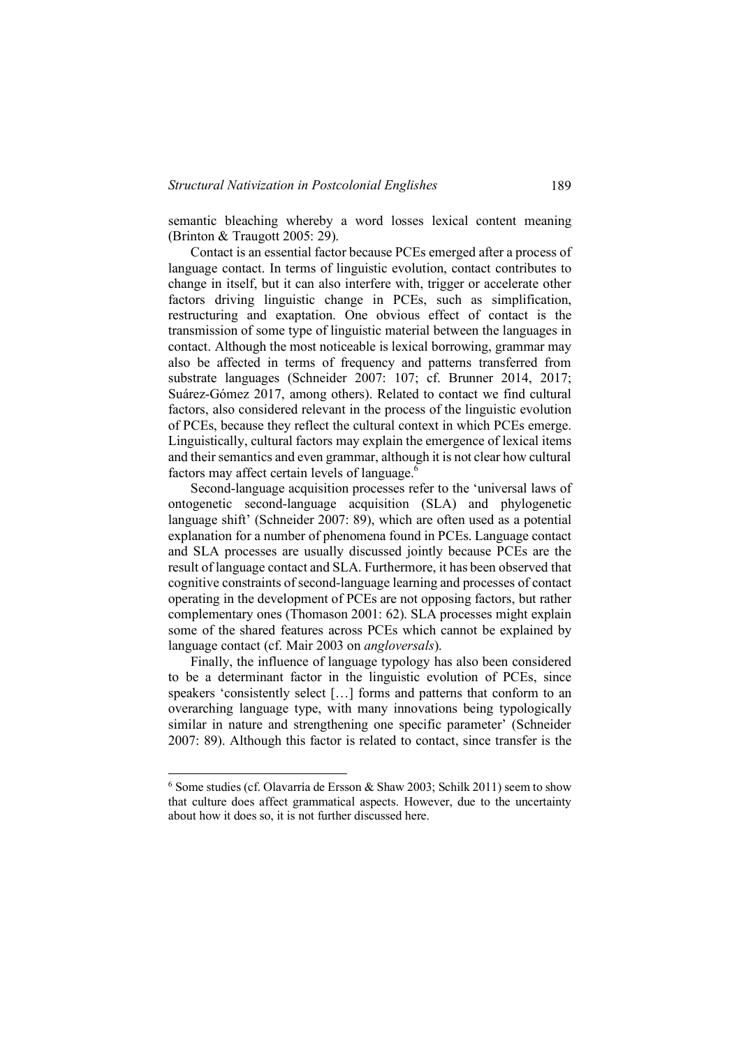semantic bleaching whereby a word losses lexical content meaning (Brinton & Traugott 2005: 29).

Contact is an essential factor because PCEs emerged after a process of language contact. In terms of linguistic evolution, contact contributes to change in itself, but it can also interfere with, trigger or accelerate other factors driving linguistic change in PCEs, such as simplification, restructuring and exaptation. One obvious effect of contact is the transmission of some type of linguistic material between the languages in contact. Although the most noticeable is lexical borrowing, grammar may also be affected in terms of frequency and patterns transferred from substrate languages (Schneider 2007: 107; cf. Brunner 2014, 2017; Suárez-Gómez 2017, among others). Related to contact we find cultural factors, also considered relevant in the process of the linguistic evolution of PCEs, because they reflect the cultural context in which PCEs emerge. Linguistically, cultural factors may explain the emergence of lexical items and their semantics and even grammar, although it is not clear how cultural factors may affect certain levels of language.<sup>6</sup>

Second-language acquisition processes refer to the 'universal laws of ontogenetic second-language acquisition (SLA) and phylogenetic language shift' (Schneider 2007: 89), which are often used as a potential explanation for a number of phenomena found in PCEs. Language contact and SLA processes are usually discussed jointly because PCEs are the result of language contact and SLA. Furthermore, it has been observed that cognitive constraints of second-language learning and processes of contact operating in the development of PCEs are not opposing factors, but rather complementary ones (Thomason 2001: 62). SLA processes might explain some of the shared features across PCEs which cannot be explained by language contact (cf. Mair 2003 on *angloversals*).

Finally, the influence of language typology has also been considered to be a determinant factor in the linguistic evolution of PCEs, since speakers 'consistently select […] forms and patterns that conform to an overarching language type, with many innovations being typologically similar in nature and strengthening one specific parameter' (Schneider 2007: 89). Although this factor is related to contact, since transfer is the

 $6$  Some studies (cf. Olavarría de Ersson & Shaw 2003; Schilk 2011) seem to show that culture does affect grammatical aspects. However, due to the uncertainty about how it does so, it is not further discussed here.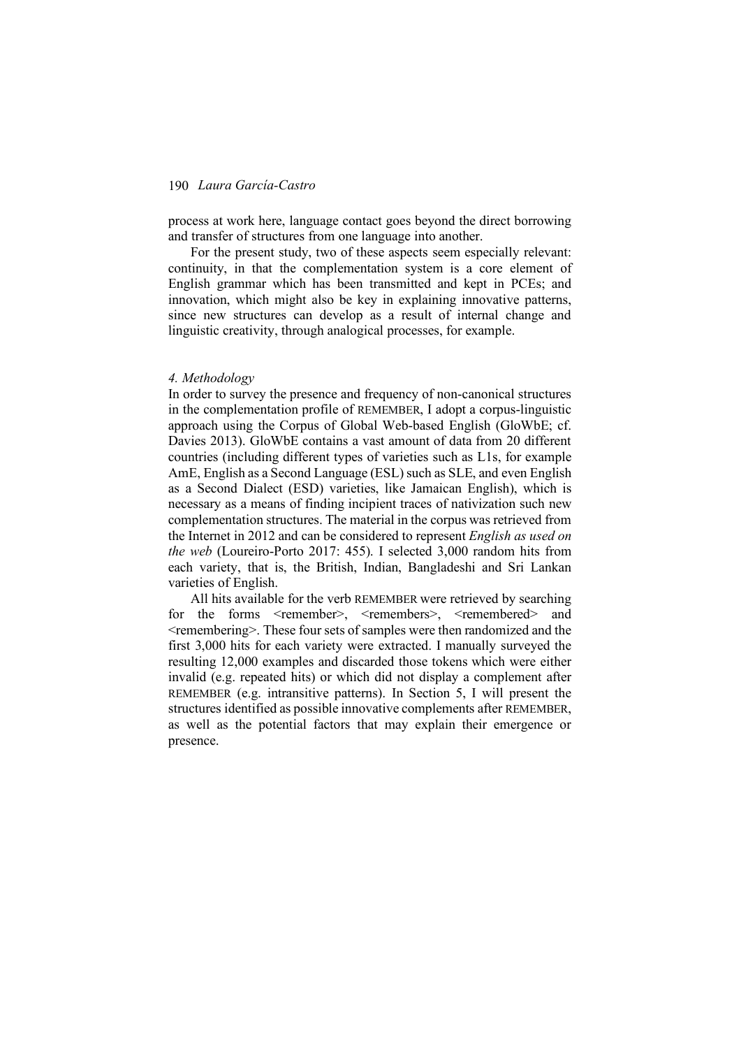process at work here, language contact goes beyond the direct borrowing and transfer of structures from one language into another.

For the present study, two of these aspects seem especially relevant: continuity, in that the complementation system is a core element of English grammar which has been transmitted and kept in PCEs; and innovation, which might also be key in explaining innovative patterns, since new structures can develop as a result of internal change and linguistic creativity, through analogical processes, for example.

#### *4. Methodology*

In order to survey the presence and frequency of non-canonical structures in the complementation profile of REMEMBER, I adopt a corpus-linguistic approach using the Corpus of Global Web-based English (GloWbE; cf. Davies 2013). GloWbE contains a vast amount of data from 20 different countries (including different types of varieties such as L1s, for example AmE, English as a Second Language (ESL) such as SLE, and even English as a Second Dialect (ESD) varieties, like Jamaican English), which is necessary as a means of finding incipient traces of nativization such new complementation structures. The material in the corpus was retrieved from the Internet in 2012 and can be considered to represent *English as used on the web* (Loureiro-Porto 2017: 455). I selected 3,000 random hits from each variety, that is, the British, Indian, Bangladeshi and Sri Lankan varieties of English.

All hits available for the verb REMEMBER were retrieved by searching for the forms <remember>, <remembers>, <remembered> and <remembering>. These four sets of samples were then randomized and the first 3,000 hits for each variety were extracted. I manually surveyed the resulting 12,000 examples and discarded those tokens which were either invalid (e.g. repeated hits) or which did not display a complement after REMEMBER (e.g. intransitive patterns). In Section 5, I will present the structures identified as possible innovative complements after REMEMBER, as well as the potential factors that may explain their emergence or presence.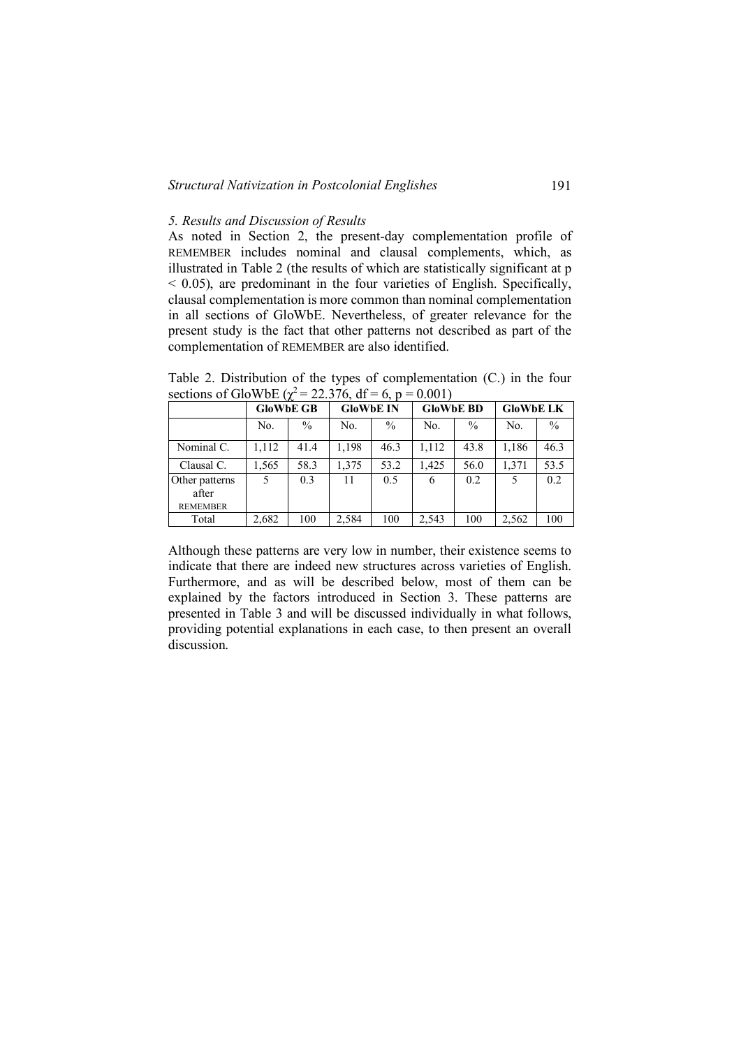## *Structural Nativization in Postcolonial Englishes* 191

# *5. Results and Discussion of Results*

As noted in Section 2, the present-day complementation profile of REMEMBER includes nominal and clausal complements, which, as illustrated in Table 2 (the results of which are statistically significant at p  $<$  0.05), are predominant in the four varieties of English. Specifically, clausal complementation is more common than nominal complementation in all sections of GloWbE. Nevertheless, of greater relevance for the present study is the fact that other patterns not described as part of the complementation of REMEMBER are also identified.

Table 2. Distribution of the types of complementation (C.) in the four sections of GloWbE ( $\chi^2$  = 22.376, df = 6, p = 0.001)

|                                            | <b>GloWbE GB</b> |      | <b>GloWbE IN</b> |      | <b>GloWbE BD</b> |               | <b>GloWbE LK</b> |               |
|--------------------------------------------|------------------|------|------------------|------|------------------|---------------|------------------|---------------|
|                                            | No.              | $\%$ | No.              | $\%$ | No.              | $\frac{0}{0}$ | No.              | $\frac{0}{0}$ |
| Nominal C.                                 | 1,112            | 41.4 | 1,198            | 46.3 | 1,112            | 43.8          | 1,186            | 46.3          |
| Clausal C.                                 | 1,565            | 58.3 | 1,375            | 53.2 | 1,425            | 56.0          | 1,371            | 53.5          |
| Other patterns<br>after<br><b>REMEMBER</b> | 5                | 0.3  | 11               | 0.5  | 6                | 0.2           | 5                | 0.2           |
| Total                                      | 2,682            | 100  | 2,584            | 100  | 2,543            | 100           | 2,562            | 100           |

Although these patterns are very low in number, their existence seems to indicate that there are indeed new structures across varieties of English. Furthermore, and as will be described below, most of them can be explained by the factors introduced in Section 3. These patterns are presented in Table 3 and will be discussed individually in what follows, providing potential explanations in each case, to then present an overall discussion.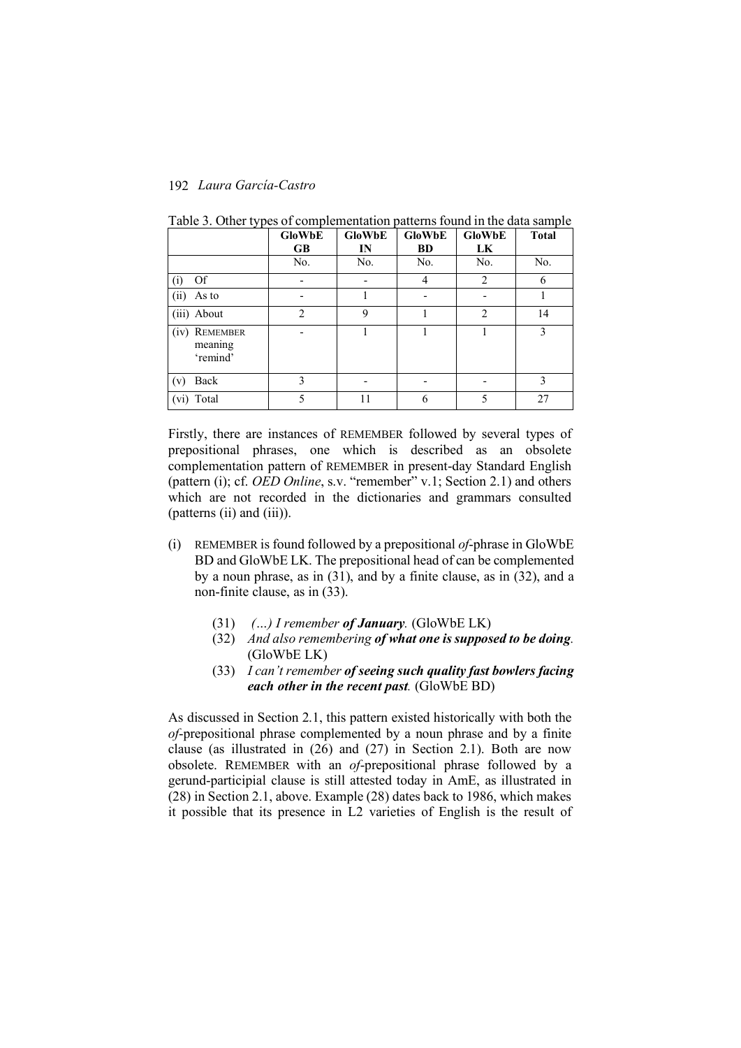|                                                | <b>GloWbE</b>  | <b>GloWbE</b> | <b>GloWbE</b> | <b>GloWbE</b>  | <b>Total</b> |
|------------------------------------------------|----------------|---------------|---------------|----------------|--------------|
|                                                | <b>GB</b>      | IN            | <b>BD</b>     | LK             |              |
|                                                | No.            | No.           | No.           | No.            | No.          |
| Of<br>(i)                                      |                |               | 4             | $\overline{c}$ | 6            |
| (ii)<br>As to                                  |                |               |               |                |              |
| (iii) About                                    | $\overline{2}$ | 9             |               | $\overline{2}$ | 14           |
| <b>REMEMBER</b><br>(iv)<br>meaning<br>'remind' | ۰              |               |               |                | 3            |
| Back<br>(v)                                    | 3              |               |               |                | 3            |
| (vi) Total                                     | 5              | 11            | 6             | 5              | 27           |

Table 3. Other types of complementation patterns found in the data sample

Firstly, there are instances of REMEMBER followed by several types of prepositional phrases, one which is described as an obsolete complementation pattern of REMEMBER in present-day Standard English (pattern (i); cf. *OED Online*, s.v. "remember" v.1; Section 2.1) and others which are not recorded in the dictionaries and grammars consulted (patterns (ii) and (iii)).

- (i) REMEMBER is found followed by a prepositional *of*-phrase in GloWbE BD and GloWbE LK. The prepositional head of can be complemented by a noun phrase, as in (31), and by a finite clause, as in (32), and a non-finite clause, as in (33).
	- (31) *(…) I remember of January.* (GloWbE LK)
	- (32) *And also remembering of what one is supposed to be doing.* (GloWbE LK)
	- (33) *I can't remember of seeing such quality fast bowlers facing each other in the recent past.* (GloWbE BD)

As discussed in Section 2.1, this pattern existed historically with both the *of*-prepositional phrase complemented by a noun phrase and by a finite clause (as illustrated in (26) and (27) in Section 2.1). Both are now obsolete. REMEMBER with an *of*-prepositional phrase followed by a gerund-participial clause is still attested today in AmE, as illustrated in (28) in Section 2.1, above. Example (28) dates back to 1986, which makes it possible that its presence in L2 varieties of English is the result of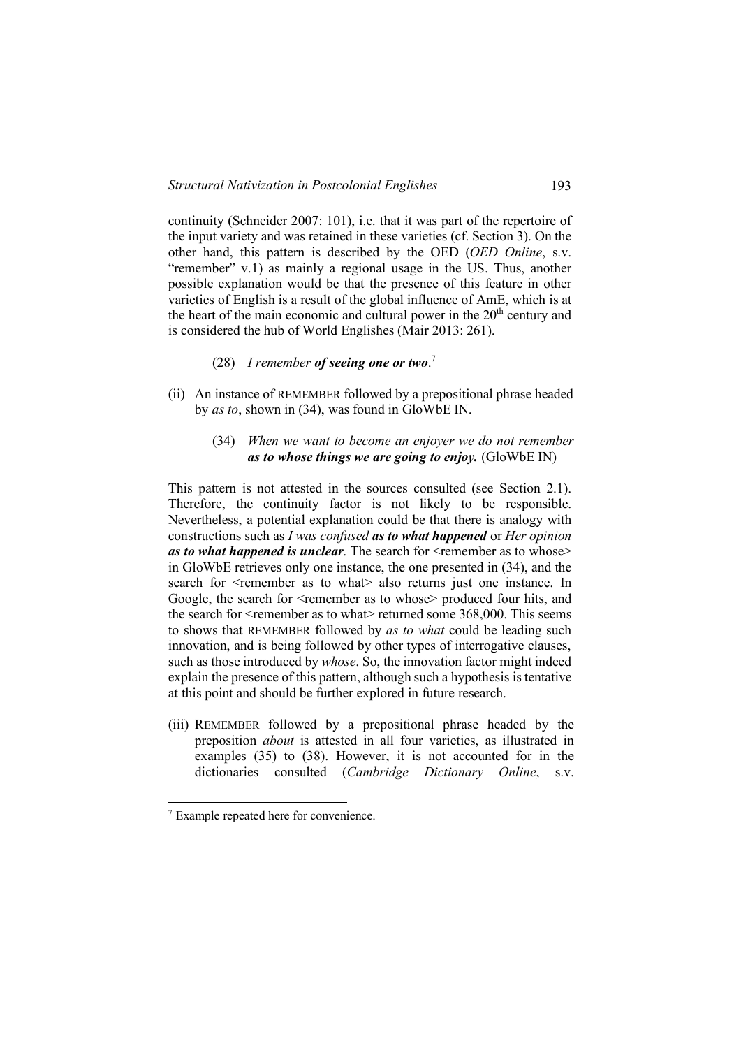continuity (Schneider 2007: 101), i.e. that it was part of the repertoire of the input variety and was retained in these varieties (cf. Section 3). On the other hand, this pattern is described by the OED (*OED Online*, s.v. "remember" v.1) as mainly a regional usage in the US. Thus, another possible explanation would be that the presence of this feature in other varieties of English is a result of the global influence of AmE, which is at the heart of the main economic and cultural power in the  $20<sup>th</sup>$  century and is considered the hub of World Englishes (Mair 2013: 261).

# (28) *I remember of seeing one or two*. 7

- (ii) An instance of REMEMBER followed by a prepositional phrase headed by *as to*, shown in (34), was found in GloWbE IN.
	- (34) *When we want to become an enjoyer we do not remember as to whose things we are going to enjoy.* (GloWbE IN)

This pattern is not attested in the sources consulted (see Section 2.1). Therefore, the continuity factor is not likely to be responsible. Nevertheless, a potential explanation could be that there is analogy with constructions such as *I was confused as to what happened* or *Her opinion as to what happened is unclear.* The search for  $\leq$  remember as to whose> in GloWbE retrieves only one instance, the one presented in (34), and the search for  $\le$ remember as to what also returns just one instance. In Google, the search for <remember as to whose> produced four hits, and the search for  $\le$ remember as to what $\ge$  returned some 368,000. This seems to shows that REMEMBER followed by *as to what* could be leading such innovation, and is being followed by other types of interrogative clauses, such as those introduced by *whose*. So, the innovation factor might indeed explain the presence of this pattern, although such a hypothesis is tentative at this point and should be further explored in future research.

(iii) REMEMBER followed by a prepositional phrase headed by the preposition *about* is attested in all four varieties, as illustrated in examples (35) to (38). However, it is not accounted for in the dictionaries consulted (*Cambridge Dictionary Online*, s.v.

 <sup>7</sup> Example repeated here for convenience.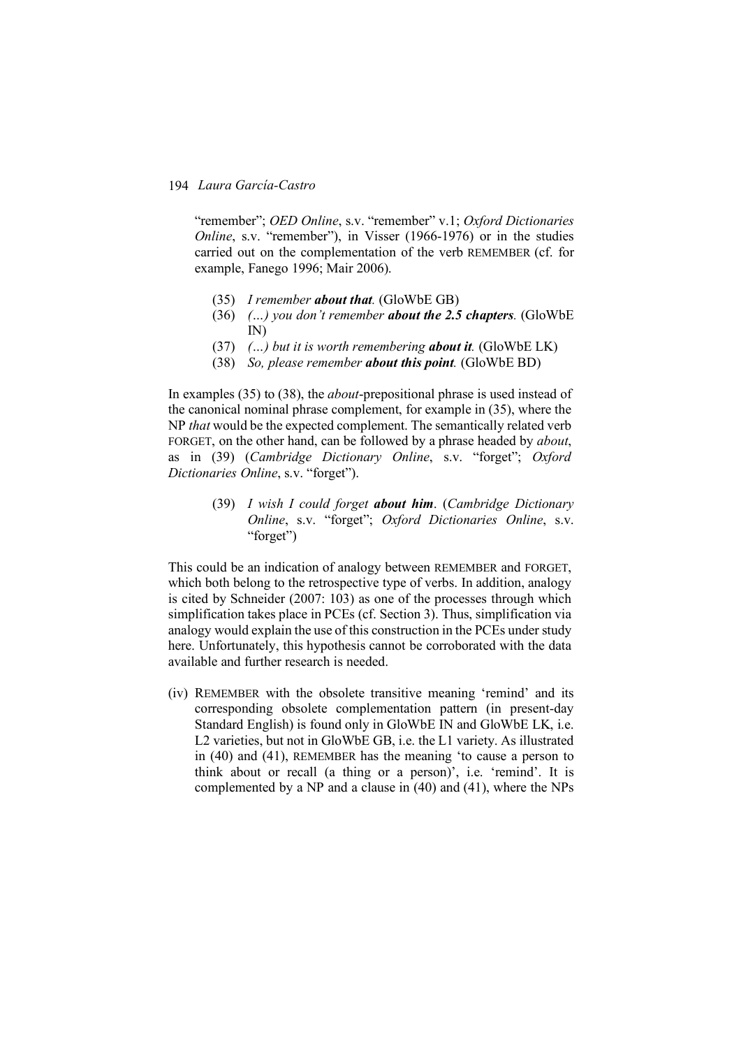"remember"; *OED Online*, s.v. "remember" v.1; *Oxford Dictionaries Online*, s.v. "remember"), in Visser (1966-1976) or in the studies carried out on the complementation of the verb REMEMBER (cf. for example, Fanego 1996; Mair 2006).

- (35) *I remember about that.* (GloWbE GB)
- (36) *(…) you don't remember about the 2.5 chapters.* (GloWbE IN)
- (37) *(…) but it is worth remembering about it.* (GloWbE LK)
- (38) *So, please remember about this point.* (GloWbE BD)

In examples (35) to (38), the *about*-prepositional phrase is used instead of the canonical nominal phrase complement, for example in (35), where the NP *that* would be the expected complement. The semantically related verb FORGET, on the other hand, can be followed by a phrase headed by *about*, as in (39) (*Cambridge Dictionary Online*, s.v. "forget"; *Oxford Dictionaries Online*, s.v. "forget").

> (39) *I wish I could forget about him*. (*Cambridge Dictionary Online*, s.v. "forget"; *Oxford Dictionaries Online*, s.v. "forget")

This could be an indication of analogy between REMEMBER and FORGET, which both belong to the retrospective type of verbs. In addition, analogy is cited by Schneider (2007: 103) as one of the processes through which simplification takes place in PCEs (cf. Section 3). Thus, simplification via analogy would explain the use of this construction in the PCEs under study here. Unfortunately, this hypothesis cannot be corroborated with the data available and further research is needed.

(iv) REMEMBER with the obsolete transitive meaning 'remind' and its corresponding obsolete complementation pattern (in present-day Standard English) is found only in GloWbE IN and GloWbE LK, i.e. L2 varieties, but not in GloWbE GB, i.e. the L1 variety. As illustrated in (40) and (41), REMEMBER has the meaning 'to cause a person to think about or recall (a thing or a person)', i.e. 'remind'. It is complemented by a NP and a clause in (40) and (41), where the NPs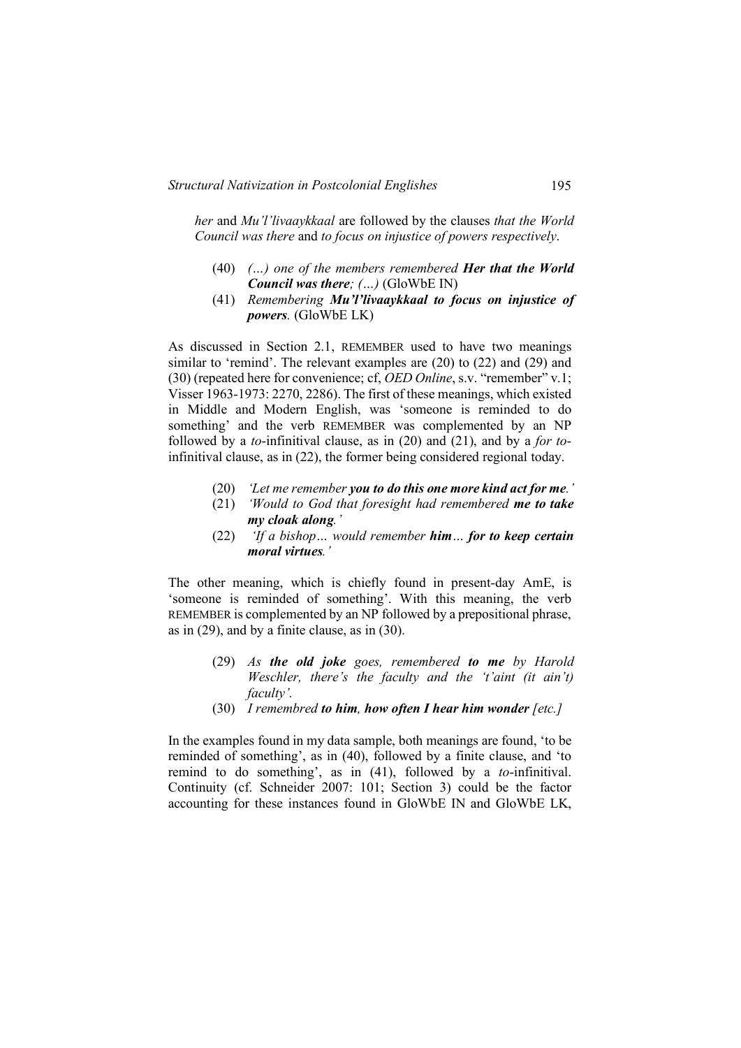*her* and *Mu'l'livaaykkaal* are followed by the clauses *that the World Council was there* and *to focus on injustice of powers respectively*.

- (40) *(…) one of the members remembered Her that the World Council was there; (…)* (GloWbE IN)
- (41) *Remembering Mu'l'livaaykkaal to focus on injustice of powers.* (GloWbE LK)

As discussed in Section 2.1, REMEMBER used to have two meanings similar to 'remind'. The relevant examples are (20) to (22) and (29) and (30) (repeated here for convenience; cf, *OED Online*, s.v. "remember" v.1; Visser 1963-1973: 2270, 2286). The first of these meanings, which existed in Middle and Modern English, was 'someone is reminded to do something' and the verb REMEMBER was complemented by an NP followed by a *to*-infinitival clause, as in (20) and (21), and by a *for to*infinitival clause, as in (22), the former being considered regional today.

- (20) *'Let me remember you to do this one more kind act for me.'*
- (21) *'Would to God that foresight had remembered me to take my cloak along.'*
- (22) *'If a bishop… would remember him… for to keep certain moral virtues.'*

The other meaning, which is chiefly found in present-day AmE, is 'someone is reminded of something'. With this meaning, the verb REMEMBER is complemented by an NP followed by a prepositional phrase, as in (29), and by a finite clause, as in (30).

- (29) *As the old joke goes, remembered to me by Harold Weschler, there's the faculty and the 't'aint (it ain't) faculty'.*
- (30) *I remembred to him, how often I hear him wonder [etc.]*

In the examples found in my data sample, both meanings are found, 'to be reminded of something', as in (40), followed by a finite clause, and 'to remind to do something', as in (41), followed by a *to*-infinitival. Continuity (cf. Schneider 2007: 101; Section 3) could be the factor accounting for these instances found in GloWbE IN and GloWbE LK,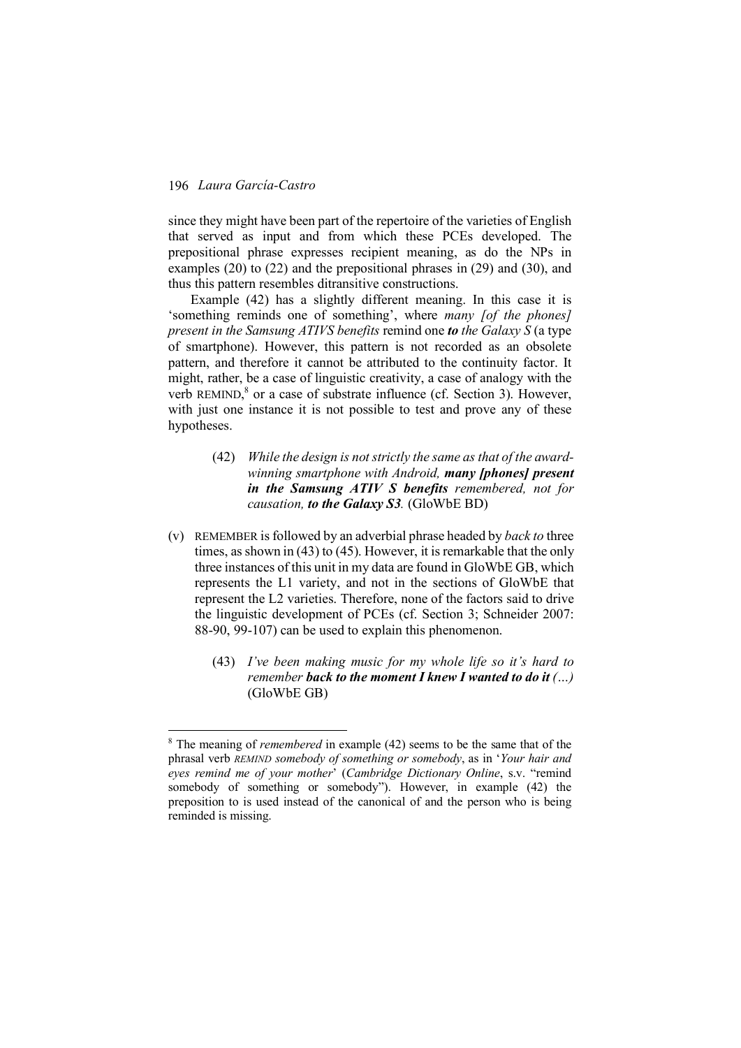since they might have been part of the repertoire of the varieties of English that served as input and from which these PCEs developed. The prepositional phrase expresses recipient meaning, as do the NPs in examples (20) to (22) and the prepositional phrases in (29) and (30), and thus this pattern resembles ditransitive constructions.

Example (42) has a slightly different meaning. In this case it is 'something reminds one of something', where *many [of the phones] present in the Samsung ATIVS benefits* remind one *to the Galaxy S* (a type of smartphone). However, this pattern is not recorded as an obsolete pattern, and therefore it cannot be attributed to the continuity factor. It might, rather, be a case of linguistic creativity, a case of analogy with the verb REMIND,<sup>8</sup> or a case of substrate influence (cf. Section 3). However, with just one instance it is not possible to test and prove any of these hypotheses.

- (42) *While the design is not strictly the same as that of the awardwinning smartphone with Android, many [phones] present in the Samsung ATIV S benefits remembered, not for causation, to the Galaxy S3.* (GloWbE BD)
- (v) REMEMBER is followed by an adverbial phrase headed by *back to* three times, as shown in (43) to (45). However, it is remarkable that the only three instances of this unit in my data are found in GloWbE GB, which represents the L1 variety, and not in the sections of GloWbE that represent the L2 varieties. Therefore, none of the factors said to drive the linguistic development of PCEs (cf. Section 3; Schneider 2007: 88-90, 99-107) can be used to explain this phenomenon.
	- (43) *I've been making music for my whole life so it's hard to remember back to the moment I knew I wanted to do it (…)* (GloWbE GB)

 <sup>8</sup> The meaning of *remembered* in example (42) seems to be the same that of the phrasal verb *REMIND somebody of something or somebody*, as in '*Your hair and eyes remind me of your mother*' (*Cambridge Dictionary Online*, s.v. "remind somebody of something or somebody"). However, in example (42) the preposition to is used instead of the canonical of and the person who is being reminded is missing.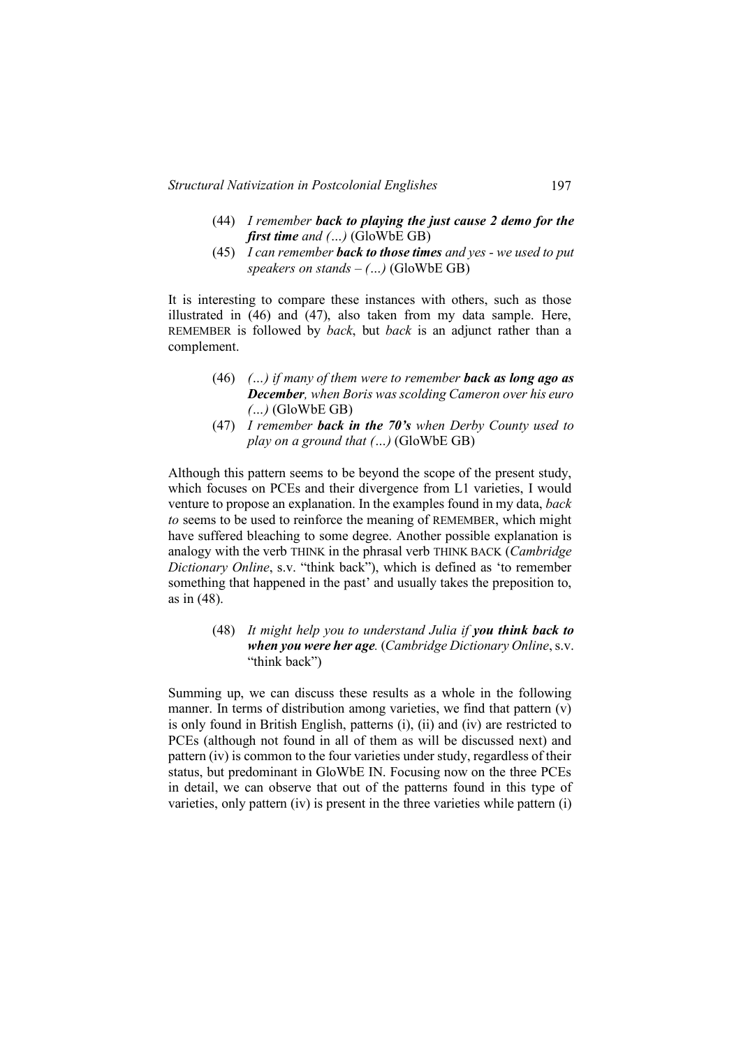- (44) *I remember back to playing the just cause 2 demo for the first time and (…)* (GloWbE GB)
- (45) *I can remember back to those times and yes - we used to put speakers on stands – (…)* (GloWbE GB)

It is interesting to compare these instances with others, such as those illustrated in (46) and (47), also taken from my data sample. Here, REMEMBER is followed by *back*, but *back* is an adjunct rather than a complement.

- (46) *(…) if many of them were to remember back as long ago as December, when Boris was scolding Cameron over his euro (…)* (GloWbE GB)
- (47) *I remember back in the 70's when Derby County used to play on a ground that (…)* (GloWbE GB)

Although this pattern seems to be beyond the scope of the present study, which focuses on PCEs and their divergence from L1 varieties, I would venture to propose an explanation. In the examples found in my data, *back to* seems to be used to reinforce the meaning of REMEMBER, which might have suffered bleaching to some degree. Another possible explanation is analogy with the verb THINK in the phrasal verb THINK BACK (*Cambridge Dictionary Online*, s.v. "think back"), which is defined as 'to remember something that happened in the past' and usually takes the preposition to, as in (48).

> (48) *It might help you to understand Julia if you think back to when you were her age.* (*Cambridge Dictionary Online*, s.v. "think back")

Summing up, we can discuss these results as a whole in the following manner. In terms of distribution among varieties, we find that pattern (v) is only found in British English, patterns (i), (ii) and (iv) are restricted to PCEs (although not found in all of them as will be discussed next) and pattern (iv) is common to the four varieties under study, regardless of their status, but predominant in GloWbE IN. Focusing now on the three PCEs in detail, we can observe that out of the patterns found in this type of varieties, only pattern (iv) is present in the three varieties while pattern (i)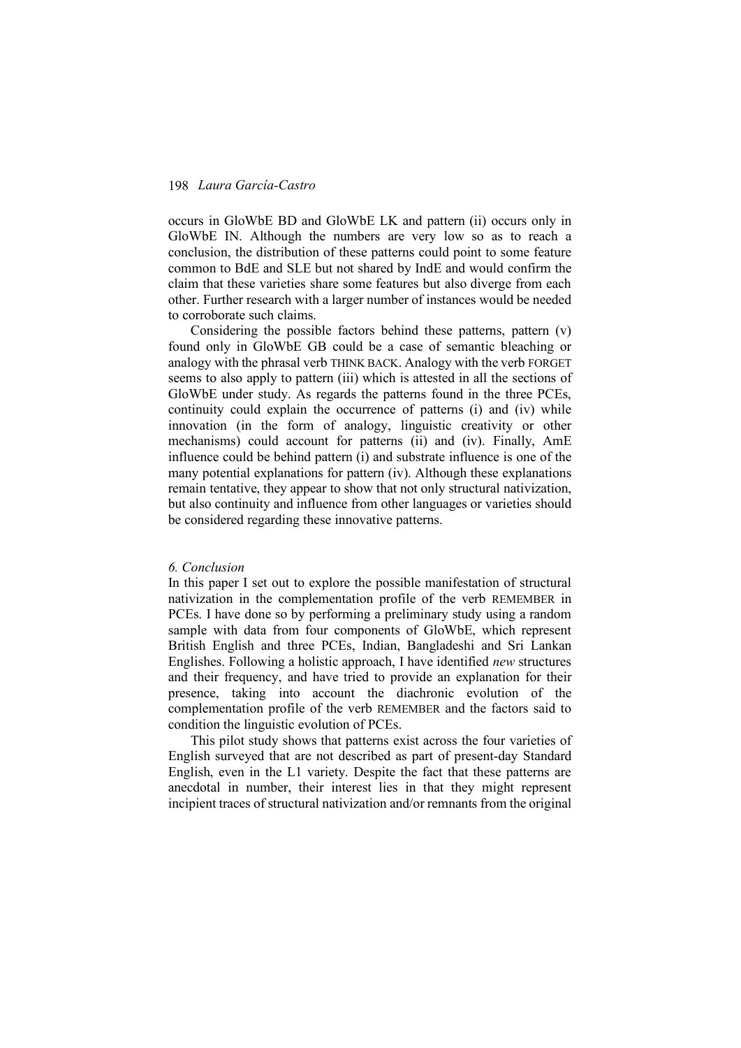occurs in GloWbE BD and GloWbE LK and pattern (ii) occurs only in GloWbE IN. Although the numbers are very low so as to reach a conclusion, the distribution of these patterns could point to some feature common to BdE and SLE but not shared by IndE and would confirm the claim that these varieties share some features but also diverge from each other. Further research with a larger number of instances would be needed to corroborate such claims.

Considering the possible factors behind these patterns, pattern (v) found only in GloWbE GB could be a case of semantic bleaching or analogy with the phrasal verb THINK BACK. Analogy with the verb FORGET seems to also apply to pattern (iii) which is attested in all the sections of GloWbE under study. As regards the patterns found in the three PCEs, continuity could explain the occurrence of patterns (i) and (iv) while innovation (in the form of analogy, linguistic creativity or other mechanisms) could account for patterns (ii) and (iv). Finally, AmE influence could be behind pattern (i) and substrate influence is one of the many potential explanations for pattern (iv). Although these explanations remain tentative, they appear to show that not only structural nativization, but also continuity and influence from other languages or varieties should be considered regarding these innovative patterns.

## *6. Conclusion*

In this paper I set out to explore the possible manifestation of structural nativization in the complementation profile of the verb REMEMBER in PCEs. I have done so by performing a preliminary study using a random sample with data from four components of GloWbE, which represent British English and three PCEs, Indian, Bangladeshi and Sri Lankan Englishes. Following a holistic approach, I have identified *new* structures and their frequency, and have tried to provide an explanation for their presence, taking into account the diachronic evolution of the complementation profile of the verb REMEMBER and the factors said to condition the linguistic evolution of PCEs.

This pilot study shows that patterns exist across the four varieties of English surveyed that are not described as part of present-day Standard English, even in the L1 variety. Despite the fact that these patterns are anecdotal in number, their interest lies in that they might represent incipient traces of structural nativization and/or remnants from the original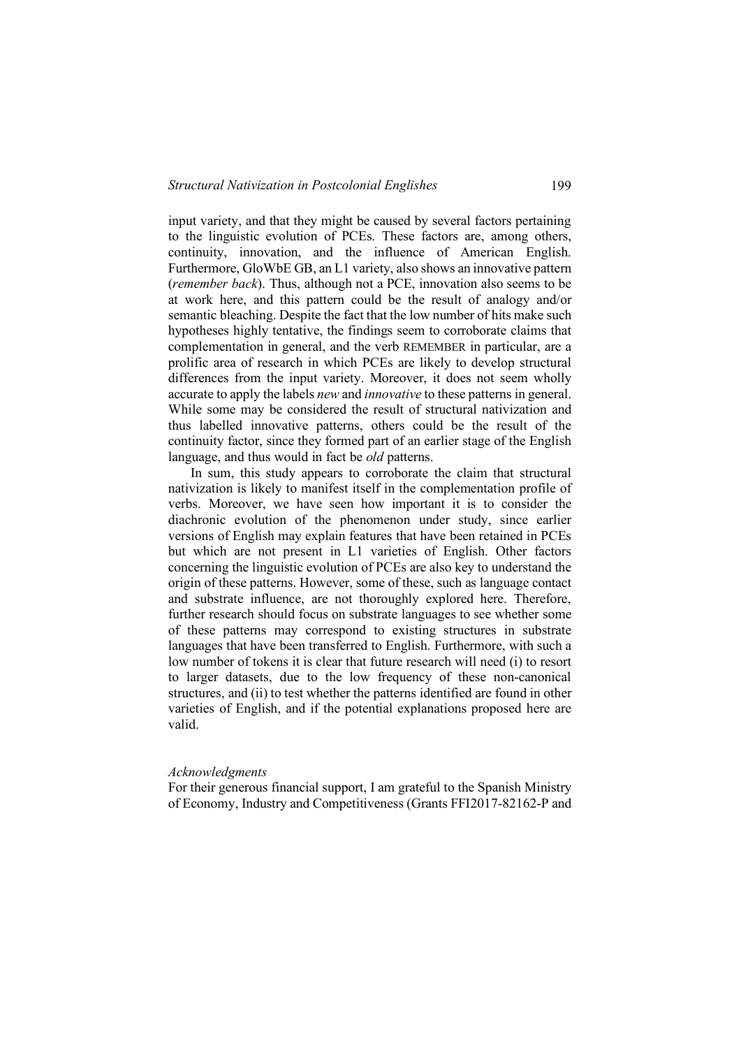input variety, and that they might be caused by several factors pertaining to the linguistic evolution of PCEs. These factors are, among others, continuity, innovation, and the influence of American English. Furthermore, GloWbE GB, an L1 variety, also shows an innovative pattern (*remember back*). Thus, although not a PCE, innovation also seems to be at work here, and this pattern could be the result of analogy and/or semantic bleaching. Despite the fact that the low number of hits make such hypotheses highly tentative, the findings seem to corroborate claims that complementation in general, and the verb REMEMBER in particular, are a prolific area of research in which PCEs are likely to develop structural differences from the input variety. Moreover, it does not seem wholly accurate to apply the labels *new* and *innovative* to these patterns in general. While some may be considered the result of structural nativization and thus labelled innovative patterns, others could be the result of the continuity factor, since they formed part of an earlier stage of the English language, and thus would in fact be *old* patterns.

In sum, this study appears to corroborate the claim that structural nativization is likely to manifest itself in the complementation profile of verbs. Moreover, we have seen how important it is to consider the diachronic evolution of the phenomenon under study, since earlier versions of English may explain features that have been retained in PCEs but which are not present in L1 varieties of English. Other factors concerning the linguistic evolution of PCEs are also key to understand the origin of these patterns. However, some of these, such as language contact and substrate influence, are not thoroughly explored here. Therefore, further research should focus on substrate languages to see whether some of these patterns may correspond to existing structures in substrate languages that have been transferred to English. Furthermore, with such a low number of tokens it is clear that future research will need (i) to resort to larger datasets, due to the low frequency of these non-canonical structures, and (ii) to test whether the patterns identified are found in other varieties of English, and if the potential explanations proposed here are valid.

#### *Acknowledgments*

For their generous financial support, I am grateful to the Spanish Ministry of Economy, Industry and Competitiveness (Grants FFI2017-82162-P and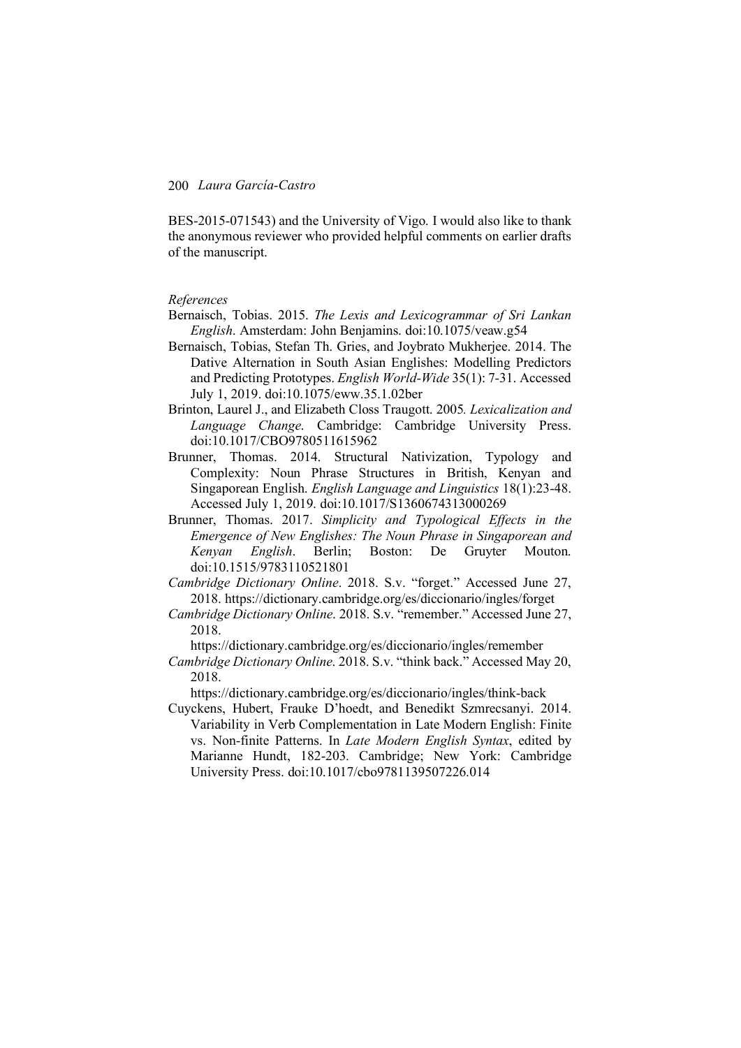BES-2015-071543) and the University of Vigo. I would also like to thank the anonymous reviewer who provided helpful comments on earlier drafts of the manuscript.

# *References*

- Bernaisch, Tobias. 2015. *The Lexis and Lexicogrammar of Sri Lankan English*. Amsterdam: John Benjamins. doi:10.1075/veaw.g54
- Bernaisch, Tobias, Stefan Th. Gries, and Joybrato Mukherjee. 2014. The Dative Alternation in South Asian Englishes: Modelling Predictors and Predicting Prototypes. *English World-Wide* 35(1): 7-31. Accessed July 1, 2019. doi:10.1075/eww.35.1.02ber
- Brinton, Laurel J., and Elizabeth Closs Traugott. 2005*. Lexicalization and Language Change*. Cambridge: Cambridge University Press. doi:10.1017/CBO9780511615962
- Brunner, Thomas. 2014. Structural Nativization, Typology and Complexity: Noun Phrase Structures in British, Kenyan and Singaporean English. *English Language and Linguistics* 18(1):23-48. Accessed July 1, 2019. doi:10.1017/S1360674313000269
- Brunner, Thomas. 2017. *Simplicity and Typological Effects in the Emergence of New Englishes: The Noun Phrase in Singaporean and Kenyan English*. Berlin; Boston: De Gruyter Mouton. doi:10.1515/9783110521801
- *Cambridge Dictionary Online*. 2018. S.v. "forget." Accessed June 27, 2018. https://dictionary.cambridge.org/es/diccionario/ingles/forget
- *Cambridge Dictionary Online*. 2018. S.v. "remember." Accessed June 27, 2018.

https://dictionary.cambridge.org/es/diccionario/ingles/remember

*Cambridge Dictionary Online*. 2018. S.v. "think back." Accessed May 20, 2018.

https://dictionary.cambridge.org/es/diccionario/ingles/think-back

Cuyckens, Hubert, Frauke D'hoedt, and Benedikt Szmrecsanyi. 2014. Variability in Verb Complementation in Late Modern English: Finite vs. Non-finite Patterns. In *Late Modern English Syntax*, edited by Marianne Hundt, 182-203. Cambridge; New York: Cambridge University Press. doi:10.1017/cbo9781139507226.014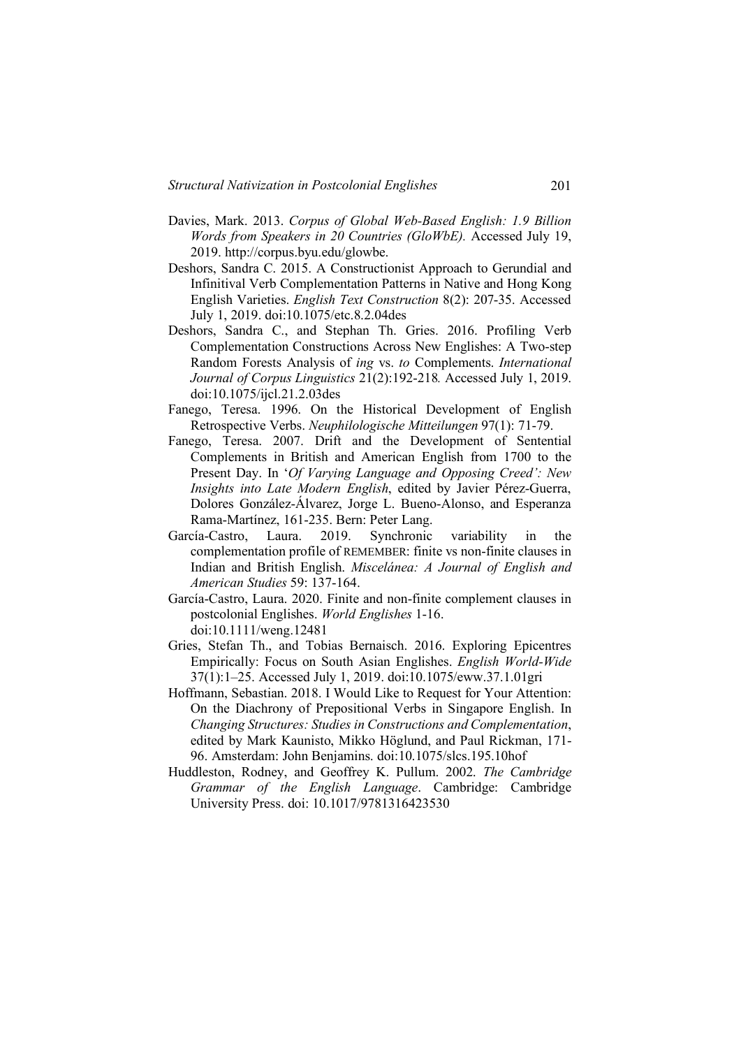- Davies, Mark. 2013. *Corpus of Global Web-Based English: 1.9 Billion Words from Speakers in 20 Countries (GloWbE).* Accessed July 19, 2019. http://corpus.byu.edu/glowbe.
- Deshors, Sandra C. 2015. A Constructionist Approach to Gerundial and Infinitival Verb Complementation Patterns in Native and Hong Kong English Varieties. *English Text Construction* 8(2): 207-35. Accessed July 1, 2019. doi:10.1075/etc.8.2.04des
- Deshors, Sandra C., and Stephan Th. Gries. 2016. Profiling Verb Complementation Constructions Across New Englishes: A Two-step Random Forests Analysis of *ing* vs. *to* Complements. *International Journal of Corpus Linguistics* 21(2):192-218*.* Accessed July 1, 2019. doi:10.1075/ijcl.21.2.03des
- Fanego, Teresa. 1996. On the Historical Development of English Retrospective Verbs. *Neuphilologische Mitteilungen* 97(1): 71-79.
- Fanego, Teresa. 2007. Drift and the Development of Sentential Complements in British and American English from 1700 to the Present Day. In '*Of Varying Language and Opposing Creed': New Insights into Late Modern English*, edited by Javier Pérez-Guerra, Dolores González-Álvarez, Jorge L. Bueno-Alonso, and Esperanza Rama-Martínez, 161-235. Bern: Peter Lang.
- García-Castro, Laura. 2019. Synchronic variability in the complementation profile of REMEMBER: finite vs non-finite clauses in Indian and British English. *Miscelánea: A Journal of English and American Studies* 59: 137-164.
- García-Castro, Laura. 2020. Finite and non-finite complement clauses in postcolonial Englishes. *World Englishes* 1-16. doi:10.1111/weng.12481
- Gries, Stefan Th., and Tobias Bernaisch. 2016. Exploring Epicentres Empirically: Focus on South Asian Englishes. *English World-Wide*  37(1):1–25. Accessed July 1, 2019. doi:10.1075/eww.37.1.01gri
- Hoffmann, Sebastian. 2018. I Would Like to Request for Your Attention: On the Diachrony of Prepositional Verbs in Singapore English. In *Changing Structures: Studies in Constructions and Complementation*, edited by Mark Kaunisto, Mikko Höglund, and Paul Rickman, 171- 96. Amsterdam: John Benjamins. doi:10.1075/slcs.195.10hof
- Huddleston, Rodney, and Geoffrey K. Pullum. 2002. *The Cambridge Grammar of the English Language*. Cambridge: Cambridge University Press. doi: 10.1017/9781316423530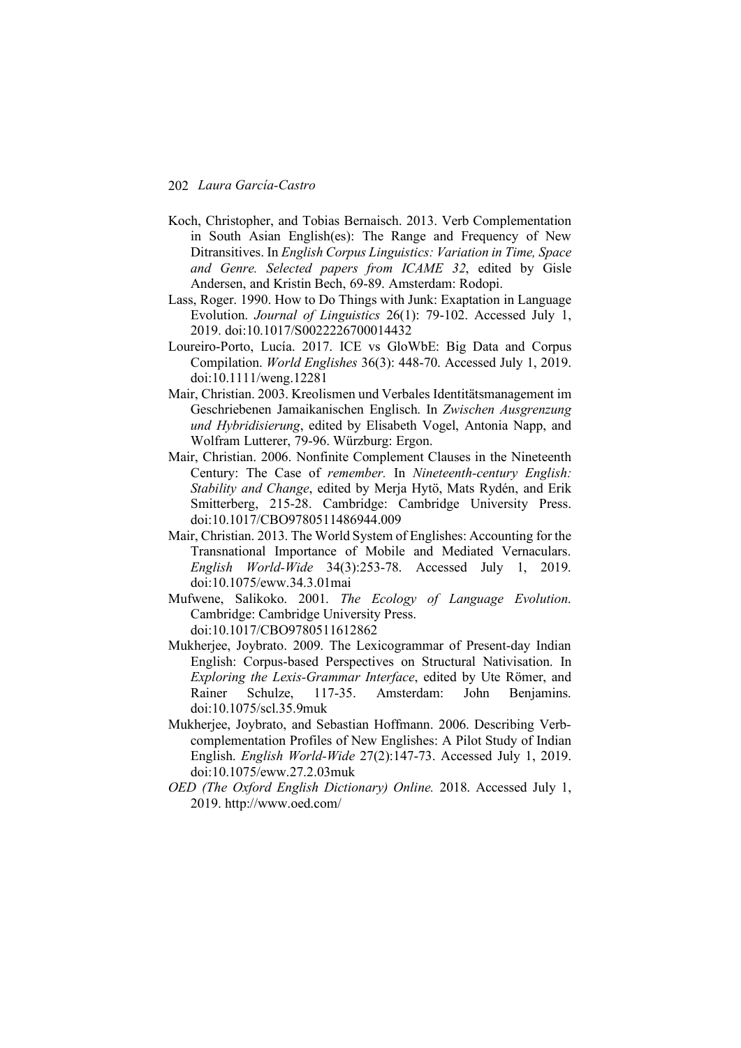- Koch, Christopher, and Tobias Bernaisch. 2013. Verb Complementation in South Asian English(es): The Range and Frequency of New Ditransitives. In *English Corpus Linguistics: Variation in Time, Space and Genre. Selected papers from ICAME 32*, edited by Gisle Andersen, and Kristin Bech, 69-89. Amsterdam: Rodopi.
- Lass, Roger. 1990. How to Do Things with Junk: Exaptation in Language Evolution. *Journal of Linguistics* 26(1): 79-102. Accessed July 1, 2019. doi:10.1017/S0022226700014432
- Loureiro-Porto, Lucía. 2017. ICE vs GloWbE: Big Data and Corpus Compilation. *World Englishes* 36(3): 448-70. Accessed July 1, 2019. doi:10.1111/weng.12281
- Mair, Christian. 2003. Kreolismen und Verbales Identitätsmanagement im Geschriebenen Jamaikanischen Englisch. In *Zwischen Ausgrenzung und Hybridisierung*, edited by Elisabeth Vogel, Antonia Napp, and Wolfram Lutterer, 79-96. Würzburg: Ergon.
- Mair, Christian. 2006. Nonfinite Complement Clauses in the Nineteenth Century: The Case of *remember.* In *Nineteenth-century English: Stability and Change*, edited by Merja Hytö, Mats Rydén, and Erik Smitterberg, 215-28. Cambridge: Cambridge University Press. doi:10.1017/CBO9780511486944.009
- Mair, Christian. 2013. The World System of Englishes: Accounting for the Transnational Importance of Mobile and Mediated Vernaculars. *English World-Wide* 34(3):253-78. Accessed July 1, 2019. doi:10.1075/eww.34.3.01mai
- Mufwene, Salikoko. 2001. *The Ecology of Language Evolution*. Cambridge: Cambridge University Press. doi:10.1017/CBO9780511612862
- Mukherjee, Joybrato. 2009. The Lexicogrammar of Present-day Indian English: Corpus-based Perspectives on Structural Nativisation. In *Exploring the Lexis-Grammar Interface*, edited by Ute Römer, and Rainer Schulze, 117-35. Amsterdam: John Benjamins. doi:10.1075/scl.35.9muk
- Mukherjee, Joybrato, and Sebastian Hoffmann. 2006. Describing Verbcomplementation Profiles of New Englishes: A Pilot Study of Indian English. *English World-Wide* 27(2):147-73. Accessed July 1, 2019. doi:10.1075/eww.27.2.03muk
- *OED (The Oxford English Dictionary) Online.* 2018. Accessed July 1, 2019. http://www.oed.com/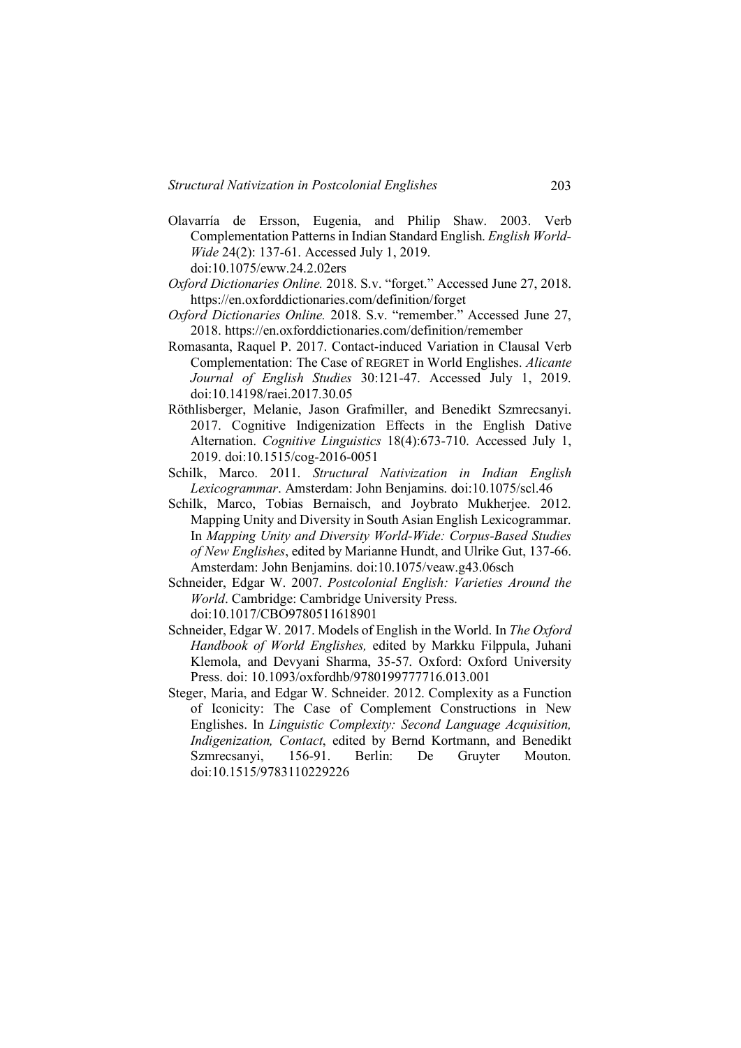- Olavarría de Ersson, Eugenia, and Philip Shaw. 2003. Verb Complementation Patterns in Indian Standard English. *English World-Wide* 24(2): 137-61. Accessed July 1, 2019. doi:10.1075/eww.24.2.02ers
- *Oxford Dictionaries Online.* 2018. S.v. "forget." Accessed June 27, 2018. https://en.oxforddictionaries.com/definition/forget
- *Oxford Dictionaries Online.* 2018. S.v. "remember." Accessed June 27, 2018. https://en.oxforddictionaries.com/definition/remember
- Romasanta, Raquel P. 2017. Contact-induced Variation in Clausal Verb Complementation: The Case of REGRET in World Englishes. *Alicante Journal of English Studies* 30:121-47. Accessed July 1, 2019. doi:10.14198/raei.2017.30.05
- Röthlisberger, Melanie, Jason Grafmiller, and Benedikt Szmrecsanyi. 2017. Cognitive Indigenization Effects in the English Dative Alternation. *Cognitive Linguistics* 18(4):673-710. Accessed July 1, 2019. doi:10.1515/cog-2016-0051
- Schilk, Marco. 2011. *Structural Nativization in Indian English Lexicogrammar*. Amsterdam: John Benjamins. doi:10.1075/scl.46
- Schilk, Marco, Tobias Bernaisch, and Joybrato Mukherjee. 2012. Mapping Unity and Diversity in South Asian English Lexicogrammar. In *Mapping Unity and Diversity World-Wide: Corpus-Based Studies of New Englishes*, edited by Marianne Hundt, and Ulrike Gut, 137-66. Amsterdam: John Benjamins. doi:10.1075/veaw.g43.06sch
- Schneider, Edgar W. 2007. *Postcolonial English: Varieties Around the World*. Cambridge: Cambridge University Press.

doi:10.1017/CBO9780511618901

- Schneider, Edgar W. 2017. Models of English in the World. In *The Oxford Handbook of World Englishes,* edited by Markku Filppula, Juhani Klemola, and Devyani Sharma, 35-57. Oxford: Oxford University Press. doi: 10.1093/oxfordhb/9780199777716.013.001
- Steger, Maria, and Edgar W. Schneider. 2012. Complexity as a Function of Iconicity: The Case of Complement Constructions in New Englishes. In *Linguistic Complexity: Second Language Acquisition, Indigenization, Contact*, edited by Bernd Kortmann, and Benedikt Szmrecsanyi, 156-91. Berlin: De Gruyter Mouton. doi:10.1515/9783110229226